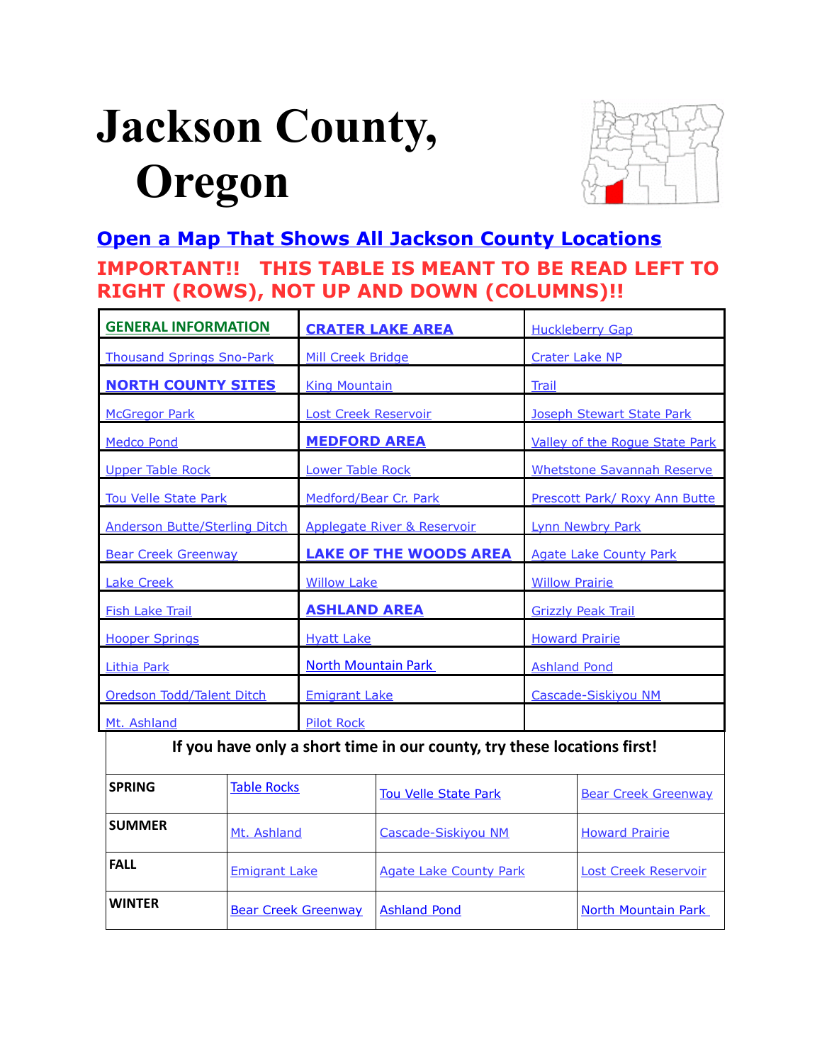# <span id="page-0-0"></span>**Jackson County, Oregon**



# **[Open a Map That Shows All Jackson County Locations](https://www.google.com/maps/d/edit?mid=zVl1oTDALjf4.kSSy7IvPpdfw&usp=sharing) IMPORTANT!! THIS TABLE IS MEANT TO BE READ LEFT TO RIGHT (ROWS), NOT UP AND DOWN (COLUMNS)!!**

| <b>GENERAL INFORMATION</b>                                              | <b>CRATER LAKE AREA</b>                | <b>Huckleberry Gap</b>            |  |  |
|-------------------------------------------------------------------------|----------------------------------------|-----------------------------------|--|--|
| <b>Thousand Springs Sno-Park</b>                                        | Mill Creek Bridge                      | <b>Crater Lake NP</b>             |  |  |
| <b>NORTH COUNTY SITES</b>                                               | <b>King Mountain</b><br>Trail          |                                   |  |  |
| <b>McGregor Park</b>                                                    | <b>Lost Creek Reservoir</b>            | Joseph Stewart State Park         |  |  |
| <b>Medco Pond</b>                                                       | <b>MEDFORD AREA</b>                    | Valley of the Rogue State Park    |  |  |
| <b>Upper Table Rock</b>                                                 | Lower Table Rock                       | <b>Whetstone Savannah Reserve</b> |  |  |
| <b>Tou Velle State Park</b>                                             | Medford/Bear Cr. Park                  | Prescott Park/ Roxy Ann Butte     |  |  |
| <b>Anderson Butte/Sterling Ditch</b>                                    | <b>Applegate River &amp; Reservoir</b> | <b>Lynn Newbry Park</b>           |  |  |
| <b>Bear Creek Greenway</b>                                              | <b>LAKE OF THE WOODS AREA</b>          | <b>Agate Lake County Park</b>     |  |  |
| <b>Lake Creek</b>                                                       | <b>Willow Lake</b>                     | <b>Willow Prairie</b>             |  |  |
| <b>Fish Lake Trail</b>                                                  | <b>ASHLAND AREA</b>                    | <b>Grizzly Peak Trail</b>         |  |  |
| <b>Hooper Springs</b>                                                   | <b>Hyatt Lake</b>                      | <b>Howard Prairie</b>             |  |  |
| <b>Lithia Park</b>                                                      | <b>North Mountain Park</b>             | <b>Ashland Pond</b>               |  |  |
| Oredson Todd/Talent Ditch                                               | <b>Emigrant Lake</b>                   | Cascade-Siskiyou NM               |  |  |
| Mt. Ashland                                                             | <b>Pilot Rock</b>                      |                                   |  |  |
| If you have only a short time in our county, try these locations first! |                                        |                                   |  |  |

| <b>SPRING</b> | <b>Table Rocks</b>         | <b>Tou Velle State Park</b>   | <b>Bear Creek Greenway</b>  |
|---------------|----------------------------|-------------------------------|-----------------------------|
| <b>SUMMER</b> | Mt. Ashland                | Cascade-Siskiyou NM           | <b>Howard Prairie</b>       |
| <b>FALL</b>   | <b>Emigrant Lake</b>       | <b>Agate Lake County Park</b> | <b>Lost Creek Reservoir</b> |
| <b>WINTER</b> | <b>Bear Creek Greenway</b> | <b>Ashland Pond</b>           | North Mountain Park         |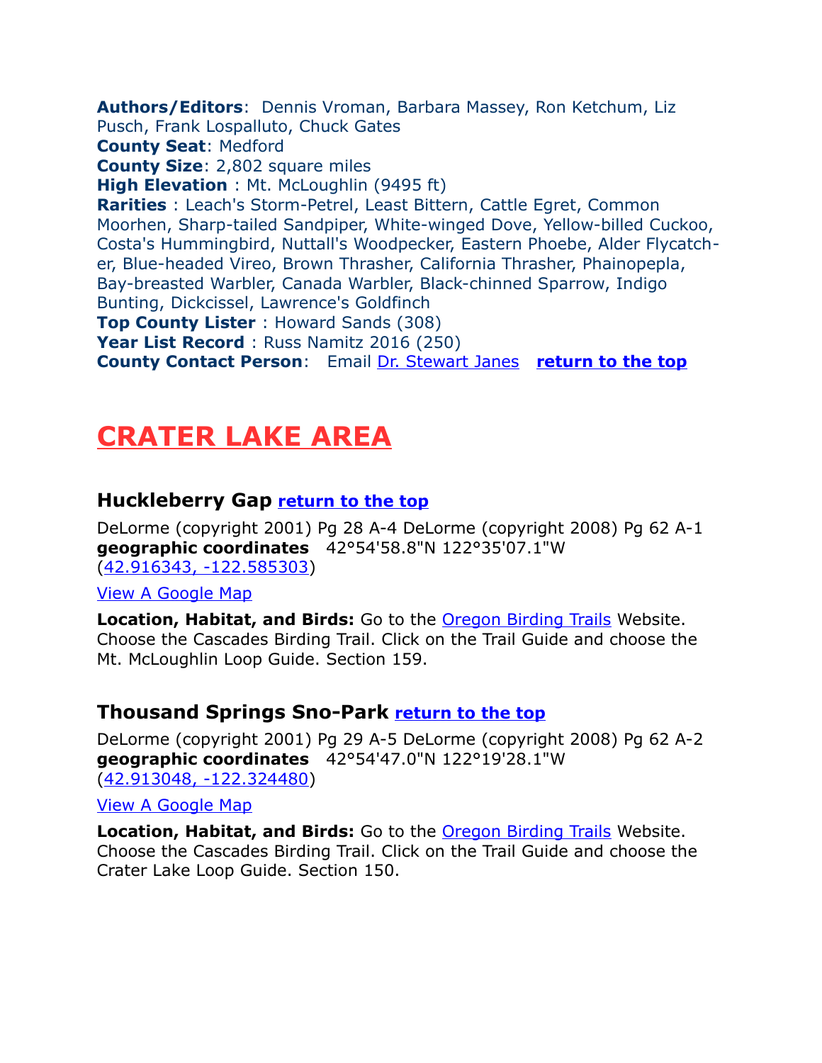<span id="page-1-3"></span>**Authors/Editors**: Dennis Vroman, Barbara Massey, Ron Ketchum, Liz Pusch, Frank Lospalluto, Chuck Gates **County Seat**: Medford **County Size**: 2,802 square miles **High Elevation** : Mt. McLoughlin (9495 ft) **Rarities** : Leach's Storm-Petrel, Least Bittern, Cattle Egret, Common Moorhen, Sharp-tailed Sandpiper, White-winged Dove, Yellow-billed Cuckoo, Costa's Hummingbird, Nuttall's Woodpecker, Eastern Phoebe, Alder Flycatcher, Blue-headed Vireo, Brown Thrasher, California Thrasher, Phainopepla, Bay-breasted Warbler, Canada Warbler, Black-chinned Sparrow, Indigo Bunting, Dickcissel, Lawrence's Goldfinch **Top County Lister** : Howard Sands (308) **Year List Record** : Russ Namitz 2016 (250) **County Contact Person**: Email [Dr. Stewart Janes](mailto:janes@sou.edu) **[return to the top](#page-0-0)**

# <span id="page-1-2"></span>**CRATER LAKE AREA**

#### <span id="page-1-1"></span>**Huckleberry Gap [return to the top](#page-0-0)**

DeLorme (copyright 2001) Pg 28 A-4 DeLorme (copyright 2008) Pg 62 A-1 **geographic coordinates** 42°54'58.8"N 122°35'07.1"W [\(42.916343, -122.585303\)](https://www.google.com/maps/place/42%C2%B054)

[View A Google Map](http://maps.google.com/maps/ms?hl=en&ie=UTF8&msa=0&ll=42.638,-122.516785&spn=1.472927,3.216248&z=9&msid=108036481085398338899.00046d9ec73114595f022)

**Location, Habitat, and Birds:** Go to the **Oregon Birding Trails** Website. Choose the Cascades Birding Trail. Click on the Trail Guide and choose the Mt. McLoughlin Loop Guide. Section 159.

#### <span id="page-1-0"></span>**Thousand Springs Sno-Park [return to the top](#page-0-0)**

DeLorme (copyright 2001) Pg 29 A-5 DeLorme (copyright 2008) Pg 62 A-2 **geographic coordinates** 42°54'47.0"N 122°19'28.1"W [\(42.913048, -122.324480\)](https://www.google.com/maps/place/42%C2%B054)

[View A Google Map](http://maps.google.com/maps/ms?hl=en&ie=UTF8&msa=0&msid=108036481085398338899.00046d99a2a01c24f80d7&ll=42.909669,-122.322464&spn=0.330416,0.699692&z=11)

**Location, Habitat, and Birds:** Go to the [Oregon Birding Trails](http://www.oregonbirdingtrails.org/) Website. Choose the Cascades Birding Trail. Click on the Trail Guide and choose the Crater Lake Loop Guide. Section 150.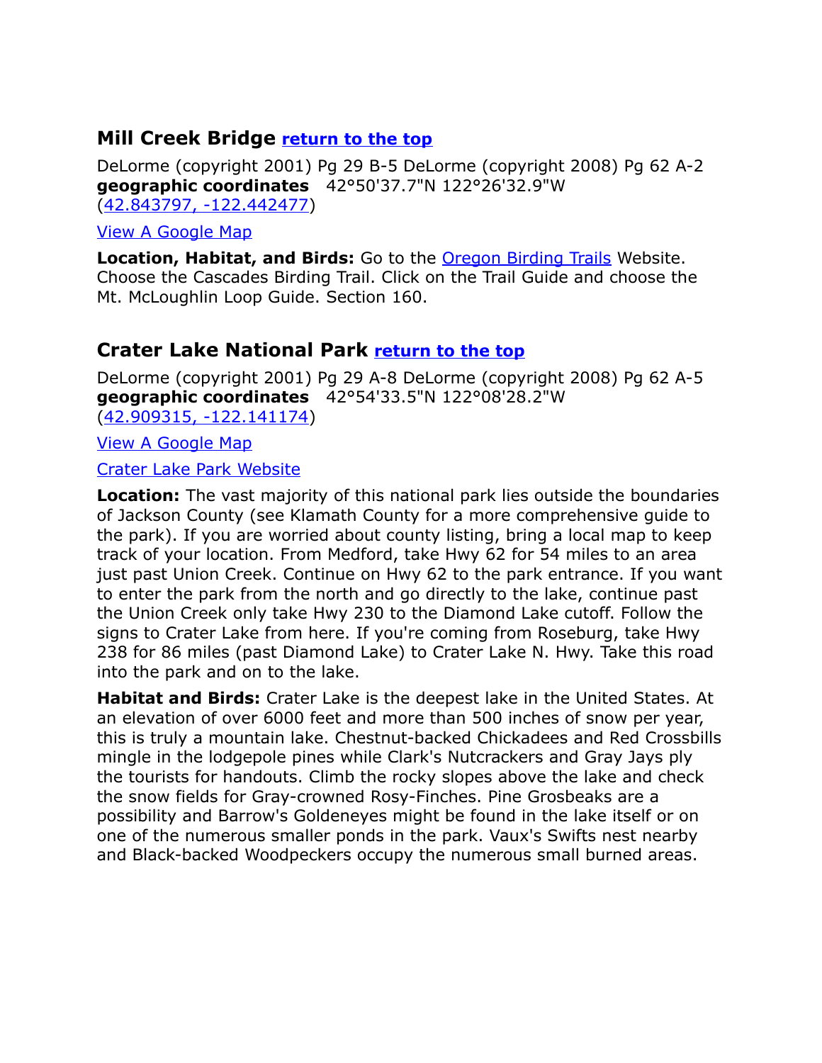# <span id="page-2-1"></span>**Mill Creek Bridge [return to the top](#page-0-0)**

DeLorme (copyright 2001) Pg 29 B-5 DeLorme (copyright 2008) Pg 62 A-2 **geographic coordinates** 42°50'37.7"N 122°26'32.9"W [\(42.843797, -122.442477\)](https://www.google.com/maps/place/42%C2%B050)

[View A Google Map](http://maps.google.com/maps/ms?hl=en&ie=UTF8&msa=0&ll=42.638,-122.516785&spn=1.472927,3.216248&z=9&msid=108036481085398338899.00046d9ec73114595f022)

**Location, Habitat, and Birds:** Go to the [Oregon Birding Trails](http://www.oregonbirdingtrails.org/) Website. Choose the Cascades Birding Trail. Click on the Trail Guide and choose the Mt. McLoughlin Loop Guide. Section 160.

# <span id="page-2-0"></span>**Crater Lake National Park [return to the top](#page-0-0)**

DeLorme (copyright 2001) Pg 29 A-8 DeLorme (copyright 2008) Pg 62 A-5 **geographic coordinates** 42°54'33.5"N 122°08'28.2"W

[\(42.909315, -122.141174\)](https://www.google.com/maps/place/42%C2%B054)

[View A Google Map](http://maps.google.com/maps/ms?hl=en&ie=UTF8&msa=0&ll=42.930285,-121.650238&spn=0.824509,2.113495&z=10&msid=108036481085398338899.000475287ab2624afea91)

[Crater Lake Park Website](http://www.nps.gov/crla/index.htm)

**Location:** The vast majority of this national park lies outside the boundaries of Jackson County (see Klamath County for a more comprehensive guide to the park). If you are worried about county listing, bring a local map to keep track of your location. From Medford, take Hwy 62 for 54 miles to an area just past Union Creek. Continue on Hwy 62 to the park entrance. If you want to enter the park from the north and go directly to the lake, continue past the Union Creek only take Hwy 230 to the Diamond Lake cutoff. Follow the signs to Crater Lake from here. If you're coming from Roseburg, take Hwy 238 for 86 miles (past Diamond Lake) to Crater Lake N. Hwy. Take this road into the park and on to the lake.

**Habitat and Birds:** Crater Lake is the deepest lake in the United States. At an elevation of over 6000 feet and more than 500 inches of snow per year, this is truly a mountain lake. Chestnut-backed Chickadees and Red Crossbills mingle in the lodgepole pines while Clark's Nutcrackers and Gray Jays ply the tourists for handouts. Climb the rocky slopes above the lake and check the snow fields for Gray-crowned Rosy-Finches. Pine Grosbeaks are a possibility and Barrow's Goldeneyes might be found in the lake itself or on one of the numerous smaller ponds in the park. Vaux's Swifts nest nearby and Black-backed Woodpeckers occupy the numerous small burned areas.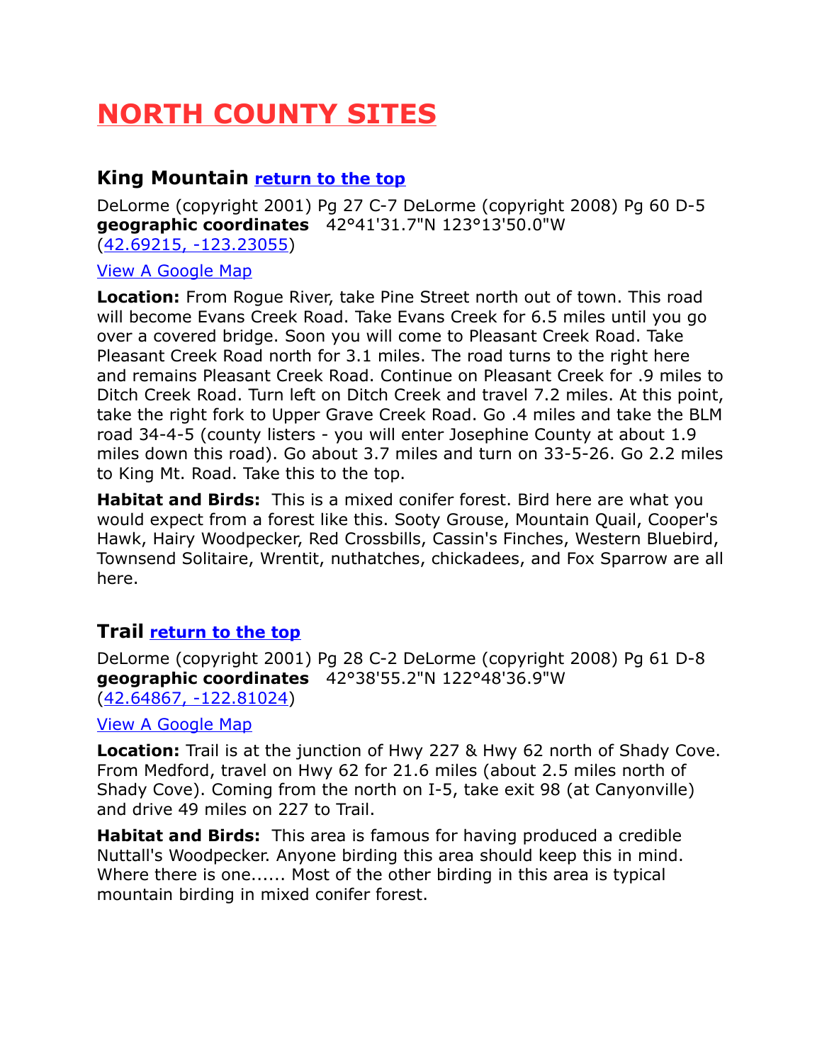# <span id="page-3-2"></span>**NORTH COUNTY SITES**

# <span id="page-3-1"></span>**King Mountain [return to the top](#page-0-0)**

DeLorme (copyright 2001) Pg 27 C-7 DeLorme (copyright 2008) Pg 60 D-5 **geographic coordinates** 42°41'31.7"N 123°13'50.0"W [\(42.69215, -123.23055\)](https://www.google.com/maps/place/42%C2%B041)

#### [View A Google Map](http://maps.google.com/maps/ms?hl=en&ie=UTF8&msa=0&msid=108036481085398338899.0004753d6fd85520e1803&ll=42.679407,-123.244629&spn=0.663292,1.399384&z=10)

**Location:** From Rogue River, take Pine Street north out of town. This road will become Evans Creek Road. Take Evans Creek for 6.5 miles until you go over a covered bridge. Soon you will come to Pleasant Creek Road. Take Pleasant Creek Road north for 3.1 miles. The road turns to the right here and remains Pleasant Creek Road. Continue on Pleasant Creek for .9 miles to Ditch Creek Road. Turn left on Ditch Creek and travel 7.2 miles. At this point, take the right fork to Upper Grave Creek Road. Go .4 miles and take the BLM road 34-4-5 (county listers - you will enter Josephine County at about 1.9 miles down this road). Go about 3.7 miles and turn on 33-5-26. Go 2.2 miles to King Mt. Road. Take this to the top.

**Habitat and Birds:** This is a mixed conifer forest. Bird here are what you would expect from a forest like this. Sooty Grouse, Mountain Quail, Cooper's Hawk, Hairy Woodpecker, Red Crossbills, Cassin's Finches, Western Bluebird, Townsend Solitaire, Wrentit, nuthatches, chickadees, and Fox Sparrow are all here.

# <span id="page-3-0"></span>**Trail [return to the top](#page-0-0)**

DeLorme (copyright 2001) Pg 28 C-2 DeLorme (copyright 2008) Pg 61 D-8 **geographic coordinates** 42°38'55.2"N 122°48'36.9"W [\(42.64867, -122.81024\)](https://www.google.com/maps/place/42%C2%B038)

#### [View A Google Map](http://maps.google.com/maps/ms?hl=en&ie=UTF8&msa=0&msid=108036481085398338899.0004755145e60c29fdf3f&ll=42.648607,-122.808609&spn=0.331812,0.699692&z=11)

**Location:** Trail is at the junction of Hwy 227 & Hwy 62 north of Shady Cove. From Medford, travel on Hwy 62 for 21.6 miles (about 2.5 miles north of Shady Cove). Coming from the north on I-5, take exit 98 (at Canyonville) and drive 49 miles on 227 to Trail.

**Habitat and Birds:** This area is famous for having produced a credible Nuttall's Woodpecker. Anyone birding this area should keep this in mind. Where there is one...... Most of the other birding in this area is typical mountain birding in mixed conifer forest.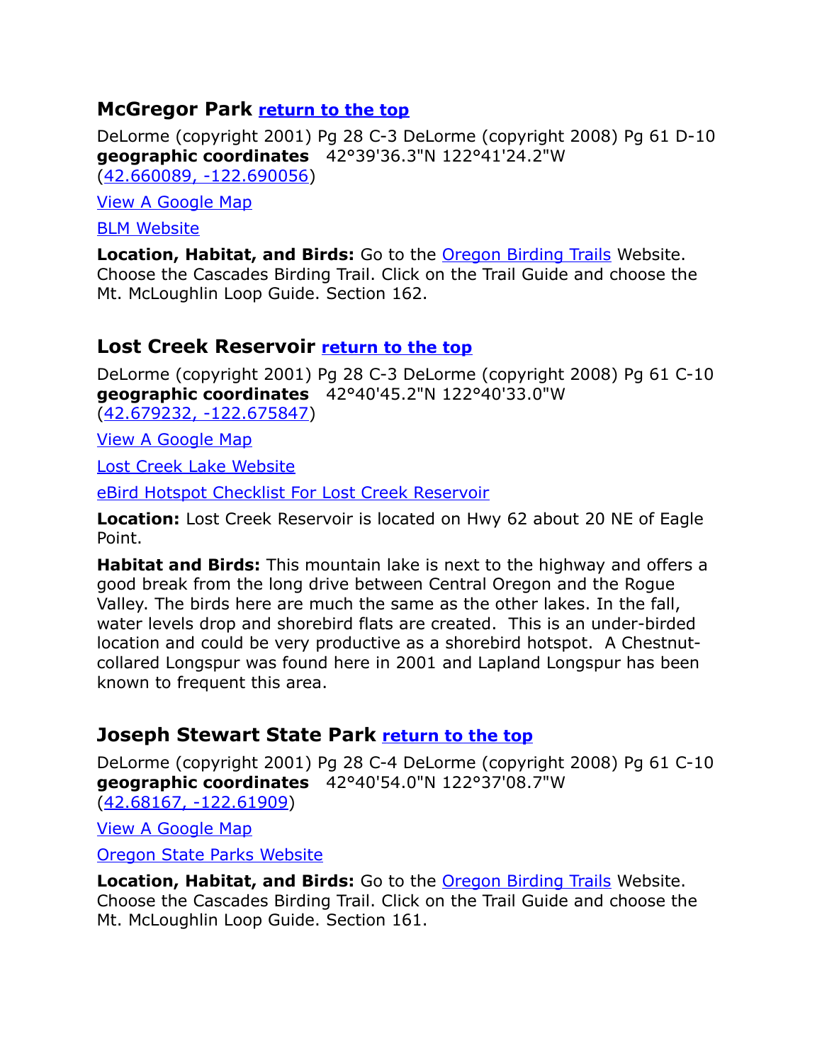# <span id="page-4-2"></span>**McGregor Park [return to the top](#page-0-0)**

DeLorme (copyright 2001) Pg 28 C-3 DeLorme (copyright 2008) Pg 61 D-10 **geographic coordinates** 42°39'36.3"N 122°41'24.2"W [\(42.660089, -122.690056\)](https://www.google.com/maps/place/42%C2%B039)

[View A Google Map](http://maps.google.com/maps/ms?hl=en&ie=UTF8&msa=0&ll=42.638,-122.516785&spn=1.472927,3.216248&z=9&msid=108036481085398338899.00046d9ec73114595f022)

**[BLM Website](http://www.blm.gov/or/resources/recreation/mcgregor/)** 

**Location, Habitat, and Birds:** Go to the [Oregon Birding Trails](http://www.oregonbirdingtrails.org/) Website. Choose the Cascades Birding Trail. Click on the Trail Guide and choose the Mt. McLoughlin Loop Guide. Section 162.

# <span id="page-4-0"></span>**Lost Creek Reservoir [return to the top](#page-0-0)**

DeLorme (copyright 2001) Pg 28 C-3 DeLorme (copyright 2008) Pg 61 C-10 **geographic coordinates** 42°40'45.2"N 122°40'33.0"W [\(42.679232, -122.675847\)](https://www.google.com/maps/place/42%C2%B040)

[View A Google Map](http://maps.google.com/maps/ms?hl=en&ie=UTF8&msa=0&ll=42.346365,-121.374207&spn=1.61178,4.22699&z=9&msid=108036481085398338899.000475205540dee41c1a8)

[Lost Creek Lake Website](http://www.southernoregon.com/lostcreeklake/index.html)

[eBird Hotspot Checklist For Lost Creek Reservoir](http://ebird.org/ebird/hotspot/L2378182?yr=all&m=&rank=mrec)

**Location:** Lost Creek Reservoir is located on Hwy 62 about 20 NE of Eagle Point.

**Habitat and Birds:** This mountain lake is next to the highway and offers a good break from the long drive between Central Oregon and the Rogue Valley. The birds here are much the same as the other lakes. In the fall, water levels drop and shorebird flats are created. This is an under-birded location and could be very productive as a shorebird hotspot. A Chestnutcollared Longspur was found here in 2001 and Lapland Longspur has been known to frequent this area.

# <span id="page-4-1"></span>**Joseph Stewart State Park [return to the top](#page-0-0)**

DeLorme (copyright 2001) Pg 28 C-4 DeLorme (copyright 2008) Pg 61 C-10 **geographic coordinates** 42°40'54.0"N 122°37'08.7"W [\(42.68167, -122.61909\)](https://www.google.com/maps/place/42%C2%B040)

[View A Google Map](http://maps.google.com/maps/ms?hl=en&ie=UTF8&msa=0&ll=42.638,-122.516785&spn=1.472927,3.216248&z=9&msid=108036481085398338899.00046d9ec73114595f022)

[Oregon State Parks Website](http://www.oregonstateparks.org/park_30.php)

**Location, Habitat, and Birds:** Go to the [Oregon Birding Trails](http://www.oregonbirdingtrails.org/) Website. Choose the Cascades Birding Trail. Click on the Trail Guide and choose the Mt. McLoughlin Loop Guide. Section 161.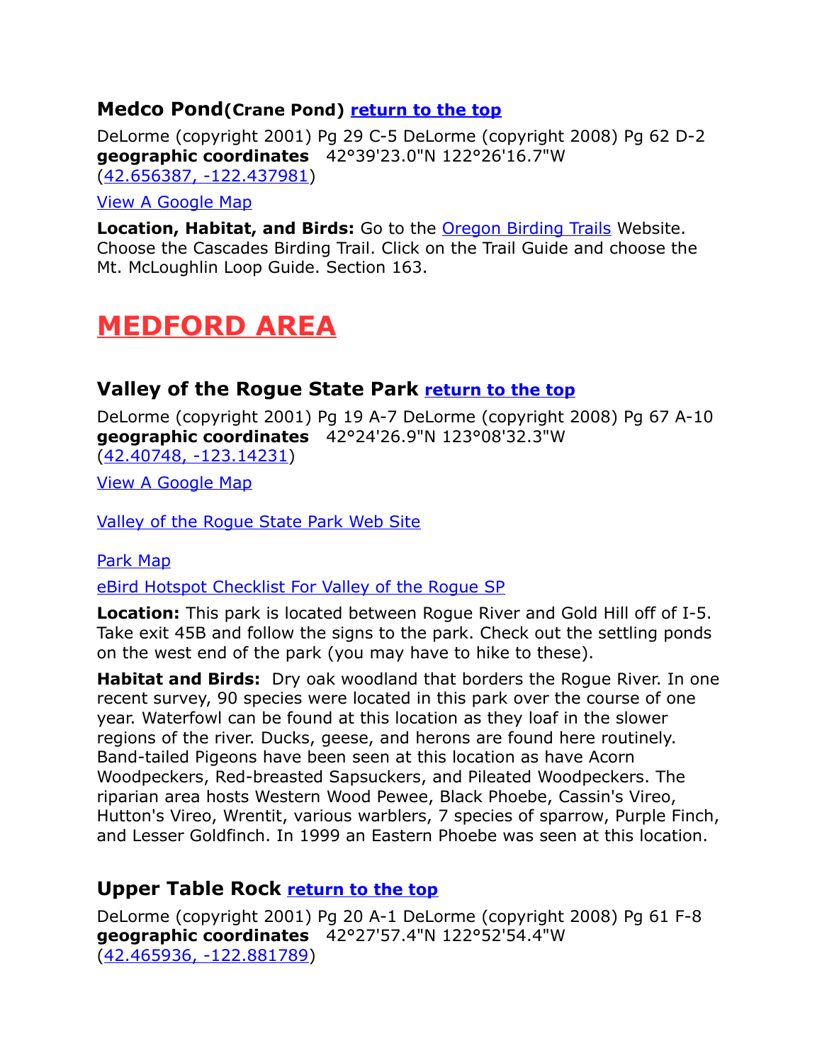# <span id="page-5-3"></span>**Medco Pond(Crane Pond) [return to the top](#page-0-0)**

DeLorme (copyright 2001) Pg 29 C-5 DeLorme (copyright 2008) Pg 62 D-2 **geographic coordinates** 42°39'23.0"N 122°26'16.7"W [\(42.656387, -122.437981\)](https://www.google.com/maps/place/42%C2%B039)

#### [View A Google Map](http://maps.google.com/maps/ms?hl=en&ie=UTF8&msa=0&ll=42.638,-122.516785&spn=1.472927,3.216248&z=9&msid=108036481085398338899.00046d9ec73114595f022)

**Location, Habitat, and Birds:** Go to the [Oregon Birding Trails](http://www.oregonbirdingtrails.org/) Website. Choose the Cascades Birding Trail. Click on the Trail Guide and choose the Mt. McLoughlin Loop Guide. Section 163.

# <span id="page-5-2"></span>**MEDFORD AREA**

# <span id="page-5-1"></span>**Valley of the Rogue State Park [return to the top](#page-0-0)**

DeLorme (copyright 2001) Pg 19 A-7 DeLorme (copyright 2008) Pg 67 A-10 **geographic coordinates** 42°24'26.9"N 123°08'32.3"W [\(42.40748, -123.14231\)](https://www.google.com/maps/place/42%C2%B024)

[View A Google Map](http://maps.google.com/maps/ms?hl=en&ie=UTF8&msa=0&msid=108036481085398338899.000475294592dd779066f&ll=42.34129,-122.939758&spn=0.66689,1.399384&z=10) 

[Valley of the Rogue State Park Web Site](http://oregonstateparks.org/index.cfm?do=parkPage.dsp_parkPage&parkId=76) 

#### [Park Map](http://www.reserveamerica.com/camping/valley-of-the-rogue-state-park/r/campgroundDetails.do?contractCode=OR&parkId=402363)

[eBird Hotspot Checklist For Valley of the Rogue SP](http://ebird.org/ebird/hotspot/L894933?yr=all&m=&rank=mrec)

**Location:** This park is located between Rogue River and Gold Hill off of I-5. Take exit 45B and follow the signs to the park. Check out the settling ponds on the west end of the park (you may have to hike to these).

**Habitat and Birds:** Dry oak woodland that borders the Rogue River. In one recent survey, 90 species were located in this park over the course of one year. Waterfowl can be found at this location as they loaf in the slower regions of the river. Ducks, geese, and herons are found here routinely. Band-tailed Pigeons have been seen at this location as have Acorn Woodpeckers, Red-breasted Sapsuckers, and Pileated Woodpeckers. The riparian area hosts Western Wood Pewee, Black Phoebe, Cassin's Vireo, Hutton's Vireo, Wrentit, various warblers, 7 species of sparrow, Purple Finch, and Lesser Goldfinch. In 1999 an Eastern Phoebe was seen at this location.

# <span id="page-5-0"></span>**Upper Table Rock [return to the top](#page-0-0)**

DeLorme (copyright 2001) Pg 20 A-1 DeLorme (copyright 2008) Pg 61 F-8 **geographic coordinates** 42°27'57.4"N 122°52'54.4"W [\(42.465936, -122.881789\)](https://www.google.com/maps/place/42%C2%B027)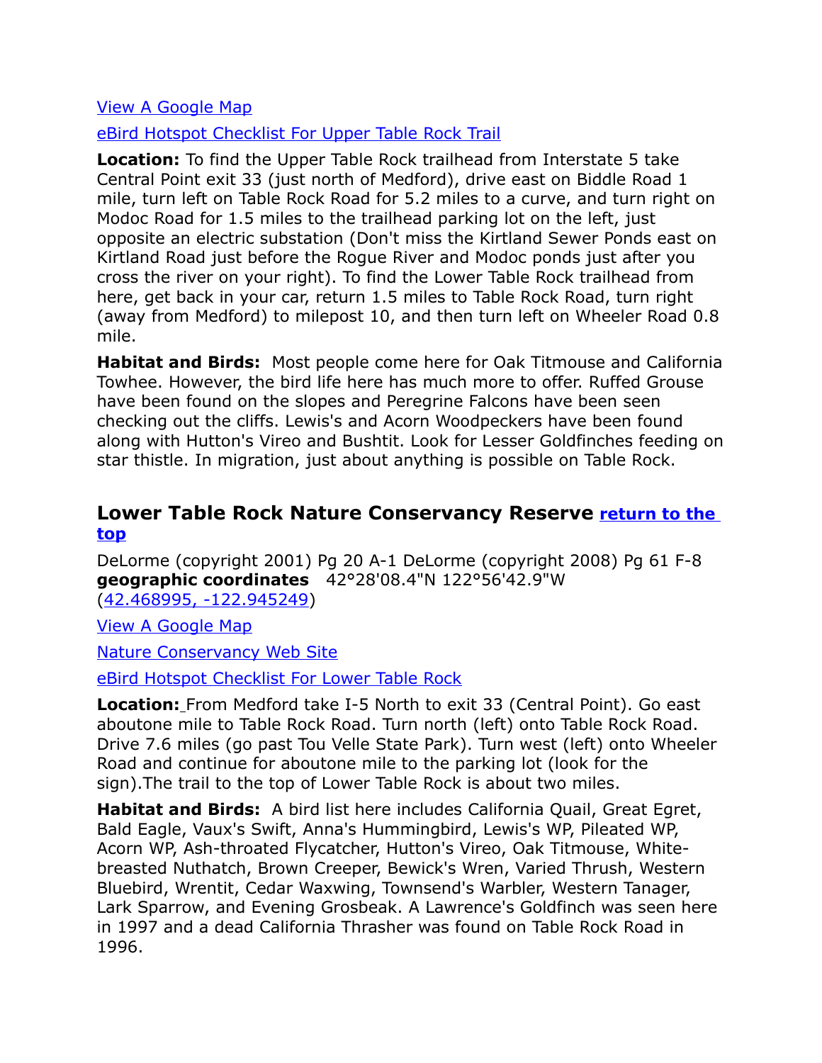#### [View A Google Map](http://maps.google.com/maps/ms?hl=en&ie=UTF8&msa=0&msid=108036481085398338899.00047528de2f7f286a52d&z=11)

[eBird Hotspot Checklist For Upper Table Rock Trail](http://ebird.org/ebird/hotspot/L1296645?yr=all&m=&rank=mrec)

**Location:** To find the Upper Table Rock trailhead from Interstate 5 take Central Point exit 33 (just north of Medford), drive east on Biddle Road 1 mile, turn left on Table Rock Road for 5.2 miles to a curve, and turn right on Modoc Road for 1.5 miles to the trailhead parking lot on the left, just opposite an electric substation (Don't miss the Kirtland Sewer Ponds east on Kirtland Road just before the Rogue River and Modoc ponds just after you cross the river on your right). To find the Lower Table Rock trailhead from here, get back in your car, return 1.5 miles to Table Rock Road, turn right (away from Medford) to milepost 10, and then turn left on Wheeler Road 0.8 mile.

**Habitat and Birds:** Most people come here for Oak Titmouse and California Towhee. However, the bird life here has much more to offer. Ruffed Grouse have been found on the slopes and Peregrine Falcons have been seen checking out the cliffs. Lewis's and Acorn Woodpeckers have been found along with Hutton's Vireo and Bushtit. Look for Lesser Goldfinches feeding on star thistle. In migration, just about anything is possible on Table Rock.

#### <span id="page-6-0"></span>**Lower Table Rock Nature Conservancy Reserve [return to the](#page-0-0)  [top](#page-0-0)**

DeLorme (copyright 2001) Pg 20 A-1 DeLorme (copyright 2008) Pg 61 F-8 **geographic coordinates** 42°28'08.4"N 122°56'42.9"W [\(42.468995, -122.945249\)](https://www.google.com/maps/place/42%C2%B028)

[View A Google Map](http://maps.google.com/maps/ms?hl=en&ie=UTF8&msa=0&msid=108036481085398338899.00047528de2f7f286a52d&z=11)

[Nature Conservancy Web Site](http://www.nature.org/ourinitiatives/regions/northamerica/unitedstates/oregon/placesweprotect/the-table-rocks.xml)

[eBird Hotspot Checklist For Lower Table Rock](http://ebird.org/ebird/hotspot/L220842?yr=all&m=&rank=mrec)

**Location:** From Medford take I-5 North to exit 33 (Central Point). Go east aboutone mile to Table Rock Road. Turn north (left) onto Table Rock Road. Drive 7.6 miles (go past Tou Velle State Park). Turn west (left) onto Wheeler Road and continue for aboutone mile to the parking lot (look for the sign).The trail to the top of Lower Table Rock is about two miles.

**Habitat and Birds:** A bird list here includes California Quail, Great Egret, Bald Eagle, Vaux's Swift, Anna's Hummingbird, Lewis's WP, Pileated WP, Acorn WP, Ash-throated Flycatcher, Hutton's Vireo, Oak Titmouse, Whitebreasted Nuthatch, Brown Creeper, Bewick's Wren, Varied Thrush, Western Bluebird, Wrentit, Cedar Waxwing, Townsend's Warbler, Western Tanager, Lark Sparrow, and Evening Grosbeak. A Lawrence's Goldfinch was seen here in 1997 and a dead California Thrasher was found on Table Rock Road in 1996.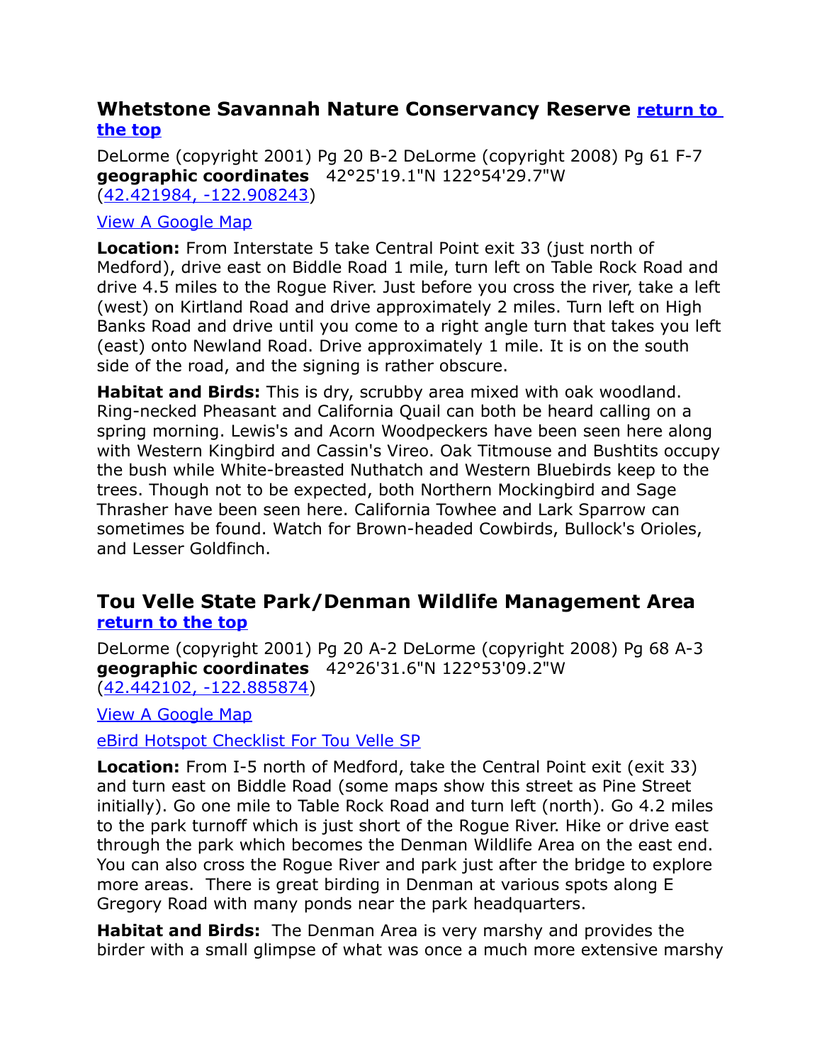# <span id="page-7-1"></span>**Whetstone Savannah Nature Conservancy Reserve [return to](#page-0-0)  [the top](#page-0-0)**

DeLorme (copyright 2001) Pg 20 B-2 DeLorme (copyright 2008) Pg 61 F-7 **geographic coordinates** 42°25'19.1"N 122°54'29.7"W [\(42.421984, -122.908243\)](https://www.google.com/maps/place/42%C2%B025)

#### [View A Google Map](http://maps.google.com/maps/ms?hl=en&ie=UTF8&msa=0&msid=108036481085398338899.00047528de2f7f286a52d&z=11)

**Location:** From Interstate 5 take Central Point exit 33 (just north of Medford), drive east on Biddle Road 1 mile, turn left on Table Rock Road and drive 4.5 miles to the Rogue River. Just before you cross the river, take a left (west) on Kirtland Road and drive approximately 2 miles. Turn left on High Banks Road and drive until you come to a right angle turn that takes you left (east) onto Newland Road. Drive approximately 1 mile. It is on the south side of the road, and the signing is rather obscure.

**Habitat and Birds:** This is dry, scrubby area mixed with oak woodland. Ring-necked Pheasant and California Quail can both be heard calling on a spring morning. Lewis's and Acorn Woodpeckers have been seen here along with Western Kingbird and Cassin's Vireo. Oak Titmouse and Bushtits occupy the bush while White-breasted Nuthatch and Western Bluebirds keep to the trees. Though not to be expected, both Northern Mockingbird and Sage Thrasher have been seen here. California Towhee and Lark Sparrow can sometimes be found. Watch for Brown-headed Cowbirds, Bullock's Orioles, and Lesser Goldfinch.

#### <span id="page-7-0"></span>**Tou Velle State Park/Denman Wildlife Management Area [return to the top](#page-0-0)**

DeLorme (copyright 2001) Pg 20 A-2 DeLorme (copyright 2008) Pg 68 A-3 **geographic coordinates** 42°26'31.6"N 122°53'09.2"W [\(42.442102, -122.885874\)](https://www.google.com/maps/place/42%C2%B026)

[View A Google Map](http://maps.google.com/maps/ms?hl=en&ie=UTF8&msa=0&msid=108036481085398338899.00047528de2f7f286a52d&z=11)

[eBird Hotspot Checklist For Tou Velle SP](http://ebird.org/ebird/hotspot/L461017?yr=all&m=&rank=mrec)

**Location:** From I-5 north of Medford, take the Central Point exit (exit 33) and turn east on Biddle Road (some maps show this street as Pine Street initially). Go one mile to Table Rock Road and turn left (north). Go 4.2 miles to the park turnoff which is just short of the Rogue River. Hike or drive east through the park which becomes the Denman Wildlife Area on the east end. You can also cross the Rogue River and park just after the bridge to explore more areas. There is great birding in Denman at various spots along E Gregory Road with many ponds near the park headquarters.

**Habitat and Birds:** The Denman Area is very marshy and provides the birder with a small glimpse of what was once a much more extensive marshy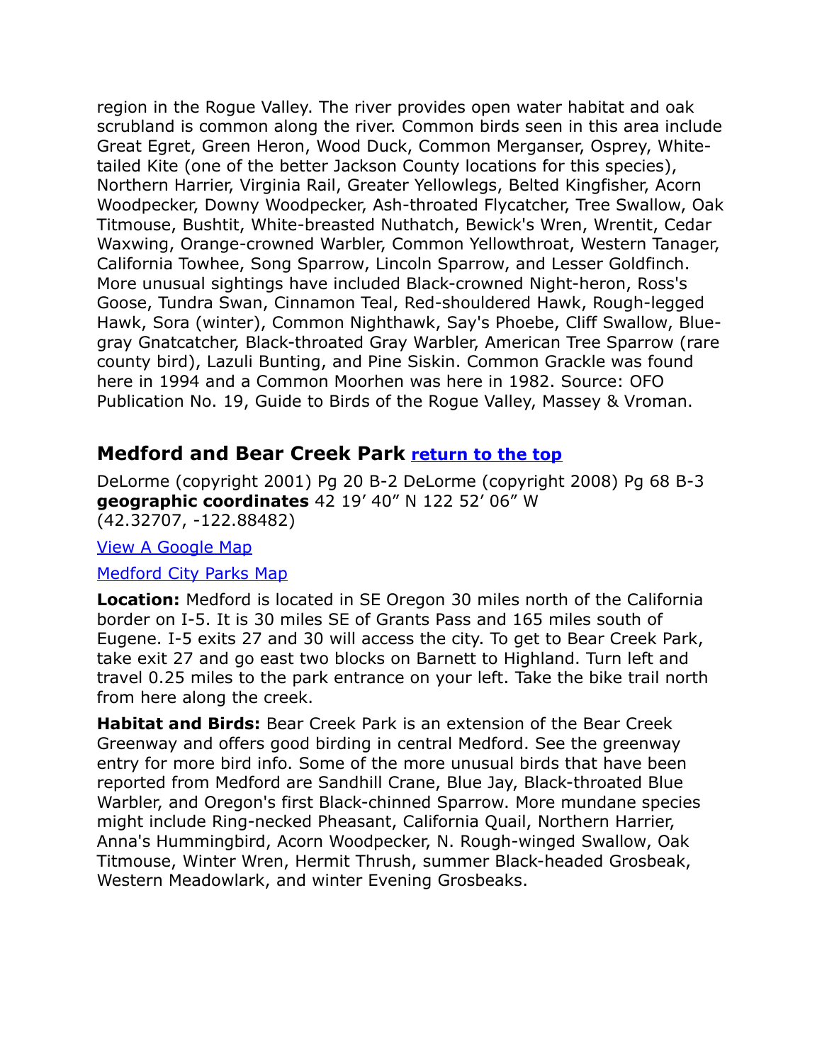region in the Rogue Valley. The river provides open water habitat and oak scrubland is common along the river. Common birds seen in this area include Great Egret, Green Heron, Wood Duck, Common Merganser, Osprey, Whitetailed Kite (one of the better Jackson County locations for this species), Northern Harrier, Virginia Rail, Greater Yellowlegs, Belted Kingfisher, Acorn Woodpecker, Downy Woodpecker, Ash-throated Flycatcher, Tree Swallow, Oak Titmouse, Bushtit, White-breasted Nuthatch, Bewick's Wren, Wrentit, Cedar Waxwing, Orange-crowned Warbler, Common Yellowthroat, Western Tanager, California Towhee, Song Sparrow, Lincoln Sparrow, and Lesser Goldfinch. More unusual sightings have included Black-crowned Night-heron, Ross's Goose, Tundra Swan, Cinnamon Teal, Red-shouldered Hawk, Rough-legged Hawk, Sora (winter), Common Nighthawk, Say's Phoebe, Cliff Swallow, Bluegray Gnatcatcher, Black-throated Gray Warbler, American Tree Sparrow (rare county bird), Lazuli Bunting, and Pine Siskin. Common Grackle was found here in 1994 and a Common Moorhen was here in 1982. Source: OFO Publication No. 19, Guide to Birds of the Rogue Valley, Massey & Vroman.

# <span id="page-8-0"></span>**Medford and Bear Creek Park [return to the top](#page-0-0)**

DeLorme (copyright 2001) Pg 20 B-2 DeLorme (copyright 2008) Pg 68 B-3 **geographic coordinates** 42 19' 40" N 122 52' 06" W (42.32707, -122.88482)

[View A Google Map](http://maps.google.com/maps/ms?hl=en&ie=UTF8&msa=0&msid=108036481085398338899.000475514ad0a1d03984c&ll=42.349918,-122.886887&spn=0.333401,0.699692&z=11)

#### [Medford City Parks Map](http://www.ci.medford.or.us/Page.asp?NavID=467)

**Location:** Medford is located in SE Oregon 30 miles north of the California border on I-5. It is 30 miles SE of Grants Pass and 165 miles south of Eugene. I-5 exits 27 and 30 will access the city. To get to Bear Creek Park, take exit 27 and go east two blocks on Barnett to Highland. Turn left and travel 0.25 miles to the park entrance on your left. Take the bike trail north from here along the creek.

**Habitat and Birds:** Bear Creek Park is an extension of the Bear Creek Greenway and offers good birding in central Medford. See the greenway entry for more bird info. Some of the more unusual birds that have been reported from Medford are Sandhill Crane, Blue Jay, Black-throated Blue Warbler, and Oregon's first Black-chinned Sparrow. More mundane species might include Ring-necked Pheasant, California Quail, Northern Harrier, Anna's Hummingbird, Acorn Woodpecker, N. Rough-winged Swallow, Oak Titmouse, Winter Wren, Hermit Thrush, summer Black-headed Grosbeak, Western Meadowlark, and winter Evening Grosbeaks.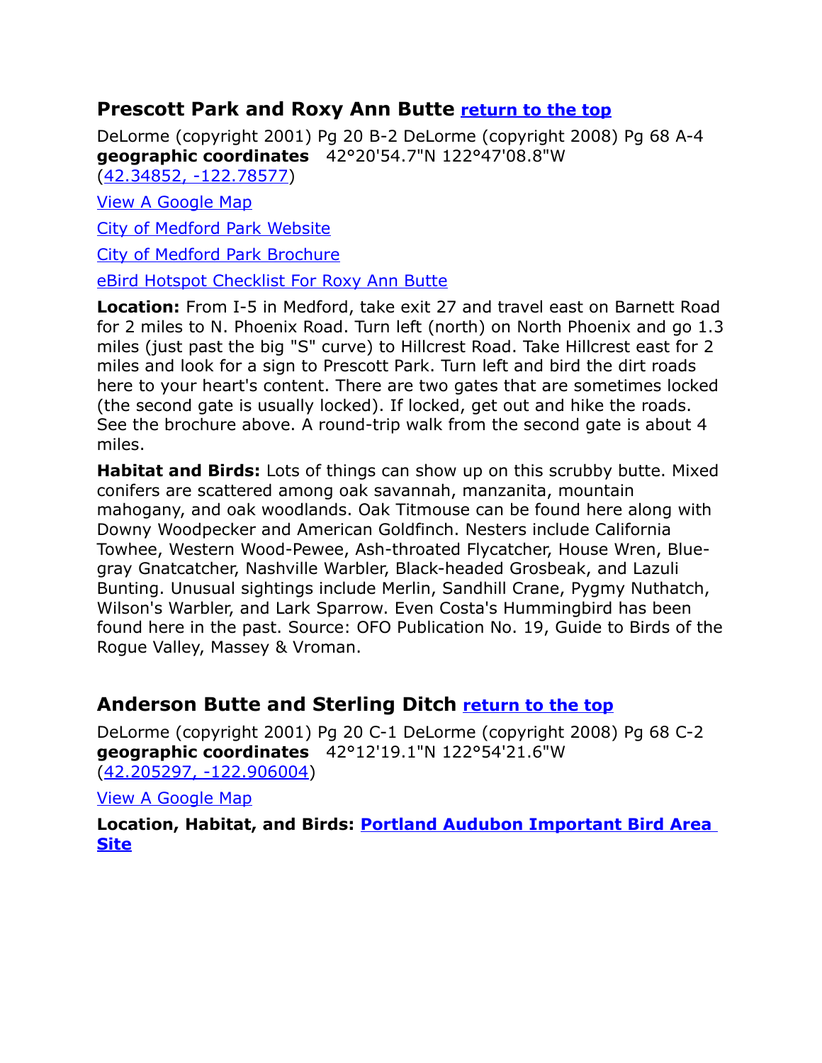# <span id="page-9-1"></span>**Prescott Park and Roxy Ann Butte [return to the top](#page-0-0)**

DeLorme (copyright 2001) Pg 20 B-2 DeLorme (copyright 2008) Pg 68 A-4 **geographic coordinates** 42°20'54.7"N 122°47'08.8"W [\(42.34852, -122.78577\)](https://www.google.com/maps/place/42%C2%B020)

[View A Google Map](http://maps.google.com/maps/ms?hl=en&ie=UTF8&msa=0&msid=108036481085398338899.000475294592dd779066f&ll=42.34129,-122.939758&spn=0.66689,1.399384&z=10) 

[City of Medford Park Website](http://www.ci.medford.or.us/Page.asp?NavID=1197)

[City of Medford Park Brochure](http://www.ci.medford.or.us/Files/Prescott%20Brochure.pdf)

[eBird Hotspot Checklist For Roxy Ann Butte](http://ebird.org/ebird/hotspot/L516852?yr=all&m=&rank=mrec)

**Location:** From I-5 in Medford, take exit 27 and travel east on Barnett Road for 2 miles to N. Phoenix Road. Turn left (north) on North Phoenix and go 1.3 miles (just past the big "S" curve) to Hillcrest Road. Take Hillcrest east for 2 miles and look for a sign to Prescott Park. Turn left and bird the dirt roads here to your heart's content. There are two gates that are sometimes locked (the second gate is usually locked). If locked, get out and hike the roads. See the brochure above. A round-trip walk from the second gate is about 4 miles.

**Habitat and Birds:** Lots of things can show up on this scrubby butte. Mixed conifers are scattered among oak savannah, manzanita, mountain mahogany, and oak woodlands. Oak Titmouse can be found here along with Downy Woodpecker and American Goldfinch. Nesters include California Towhee, Western Wood-Pewee, Ash-throated Flycatcher, House Wren, Bluegray Gnatcatcher, Nashville Warbler, Black-headed Grosbeak, and Lazuli Bunting. Unusual sightings include Merlin, Sandhill Crane, Pygmy Nuthatch, Wilson's Warbler, and Lark Sparrow. Even Costa's Hummingbird has been found here in the past. Source: OFO Publication No. 19, Guide to Birds of the Rogue Valley, Massey & Vroman.

# <span id="page-9-0"></span>**Anderson Butte and Sterling Ditch [return to the top](#page-0-0)**

DeLorme (copyright 2001) Pg 20 C-1 DeLorme (copyright 2008) Pg 68 C-2 **geographic coordinates** 42°12'19.1"N 122°54'21.6"W [\(42.205297, -122.906004\)](https://www.google.com/maps/place/42%C2%B012)

[View A Google Map](http://maps.google.com/maps/ms?hl=en&ie=UTF8&msa=0&msid=108036481085398338899.00046dd7fee8efb544266&ll=42.226484,-122.947998&spn=0.334055,0.699692&z=11)

**Location, Habitat, and Birds: [Portland Audubon Important Bird Area](http://www.audubonportland.org/issues/statewide/iba/iba-map/anderson)  [Site](http://www.audubonportland.org/issues/statewide/iba/iba-map/anderson)**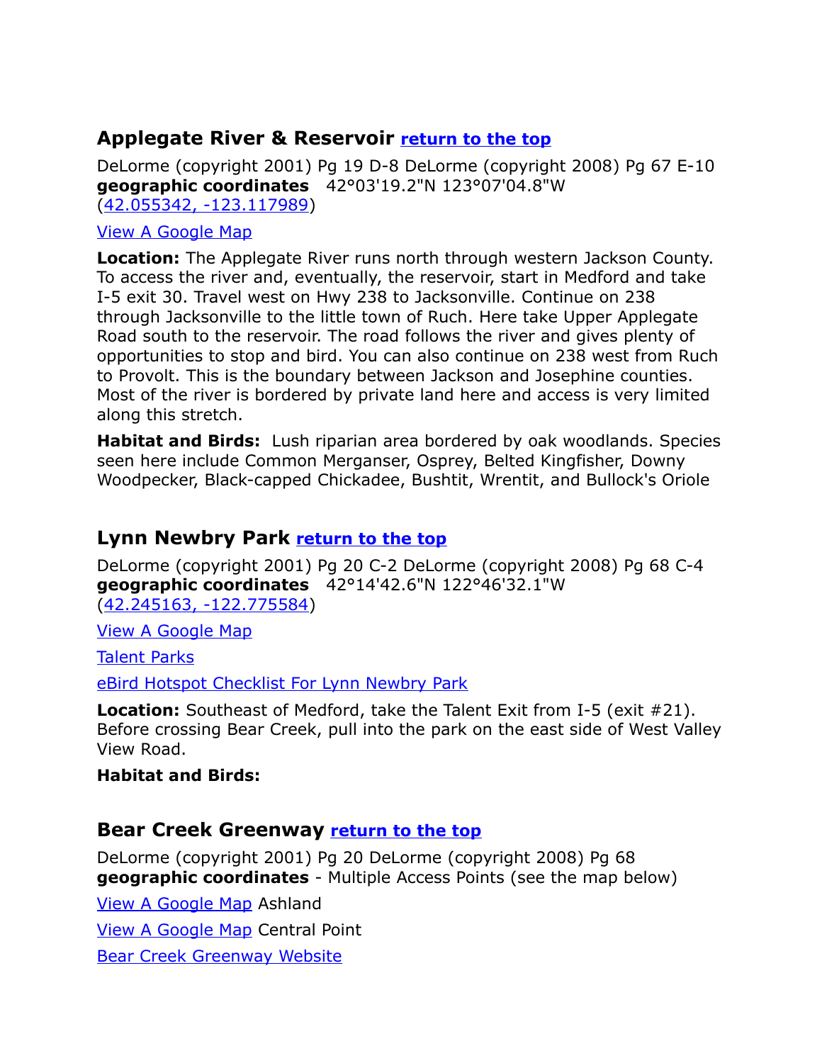# <span id="page-10-2"></span>**Applegate River & Reservoir [return to the top](#page-0-0)**

DeLorme (copyright 2001) Pg 19 D-8 DeLorme (copyright 2008) Pg 67 E-10 **geographic coordinates** 42°03'19.2"N 123°07'04.8"W [\(42.055342, -123.117989\)](https://www.google.com/maps/place/42%C2%B003)

#### [View A Google Map](http://maps.google.com/maps/ms?hl=en&ie=UTF8&msa=0&msid=108036481085398338899.0004751f65363a07af54c&ll=42.195714,-123.044128&spn=0.668429,1.399384&z=10)

**Location:** The Applegate River runs north through western Jackson County. To access the river and, eventually, the reservoir, start in Medford and take I-5 exit 30. Travel west on Hwy 238 to Jacksonville. Continue on 238 through Jacksonville to the little town of Ruch. Here take Upper Applegate Road south to the reservoir. The road follows the river and gives plenty of opportunities to stop and bird. You can also continue on 238 west from Ruch to Provolt. This is the boundary between Jackson and Josephine counties. Most of the river is bordered by private land here and access is very limited along this stretch.

**Habitat and Birds:** Lush riparian area bordered by oak woodlands. Species seen here include Common Merganser, Osprey, Belted Kingfisher, Downy Woodpecker, Black-capped Chickadee, Bushtit, Wrentit, and Bullock's Oriole

# <span id="page-10-1"></span>**Lynn Newbry Park [return to the top](#page-0-0)**

DeLorme (copyright 2001) Pg 20 C-2 DeLorme (copyright 2008) Pg 68 C-4 **geographic coordinates** 42°14'42.6"N 122°46'32.1"W [\(42.245163, -122.775584\)](https://www.google.com/maps/place/42%C2%B014)

[View A Google Map](http://maps.google.com/maps/ms?hl=en&ie=UTF8&msa=0&msid=108036481085398338899.000475294592dd779066f&ll=42.34129,-122.939758&spn=0.66689,1.399384&z=10)

[Talent Parks](http://www.cityoftalentparks.org/)

[eBird Hotspot Checklist For Lynn Newbry Park](http://ebird.org/ebird/hotspot/L471318?yr=all&m=&rank=mrec)

**Location:** Southeast of Medford, take the Talent Exit from I-5 (exit #21). Before crossing Bear Creek, pull into the park on the east side of West Valley View Road.

#### **Habitat and Birds:**

# <span id="page-10-0"></span>**Bear Creek Greenway [return to the top](#page-0-0)**

DeLorme (copyright 2001) Pg 20 DeLorme (copyright 2008) Pg 68 **geographic coordinates** - Multiple Access Points (see the map below)

[View A Google Map](http://maps.google.com/maps/ms?hl=en&ie=UTF8&msa=0&ll=42.233602,-122.854614&spn=0.807337,2.113495&z=10&msid=108036481085398338899.0004751f2fb229b59a820) Ashland

[View A Google Map](http://maps.google.com/maps/ms?hl=en&ie=UTF8&msa=0&ll=42.378519,-122.900105&spn=0.025235,0.066047&z=15&msid=108036481085398338899.00047c3ab1118c9ca29df) Central Point

[Bear Creek Greenway Website](http://jacksoncountyor.org/parks/Greenway/Bear-Creek-Greenway-Map)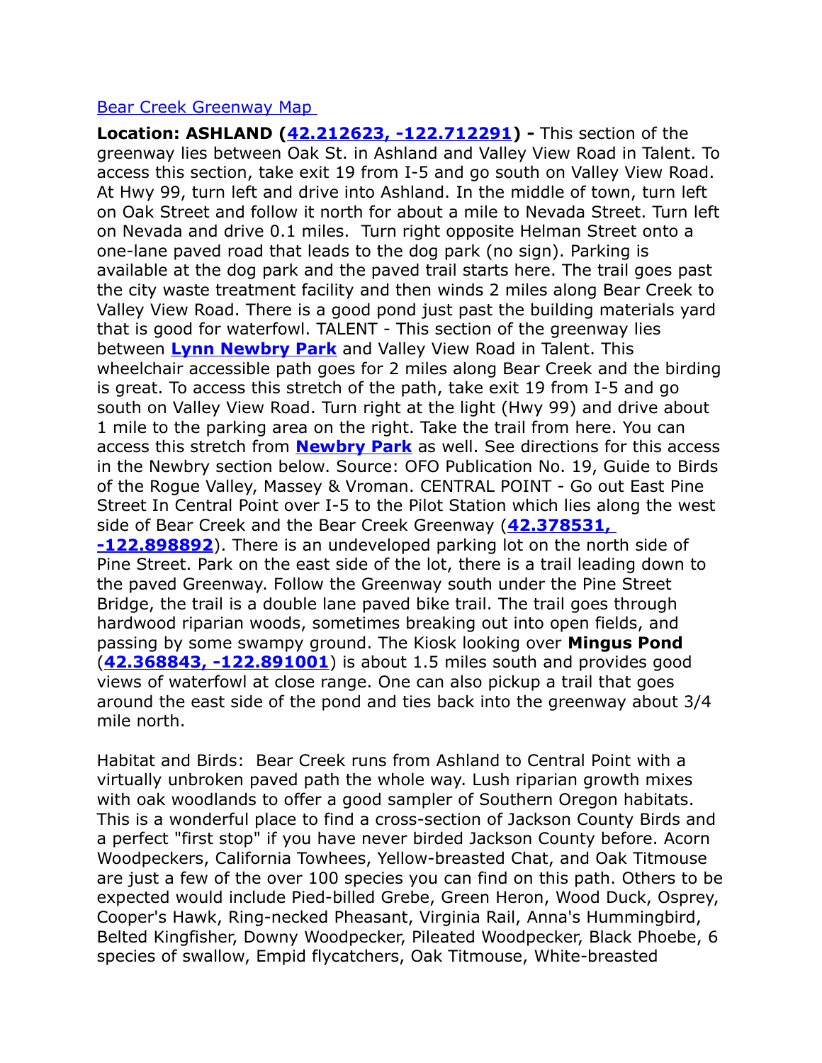#### [Bear Creek Greenway Map](http://www.bearcreekgreenway.com/explore/maps/)

<span id="page-11-1"></span><span id="page-11-0"></span>**Location: ASHLAND [\(42.212623, -122.712291\)](https://www.google.com/maps/place/42%C2%B012) -** This section of the greenway lies between Oak St. in Ashland and Valley View Road in Talent. To access this section, take exit 19 from I-5 and go south on Valley View Road. At Hwy 99, turn left and drive into Ashland. In the middle of town, turn left on Oak Street and follow it north for about a mile to Nevada Street. Turn left on Nevada and drive 0.1 miles. Turn right opposite Helman Street onto a one-lane paved road that leads to the dog park (no sign). Parking is available at the dog park and the paved trail starts here. The trail goes past the city waste treatment facility and then winds 2 miles along Bear Creek to Valley View Road. There is a good pond just past the building materials yard that is good for waterfowl. TALENT - This section of the greenway lies between **[Lynn Newbry Park](#page-11-1)** and Valley View Road in Talent. This wheelchair accessible path goes for 2 miles along Bear Creek and the birding is great. To access this stretch of the path, take exit 19 from I-5 and go south on Valley View Road. Turn right at the light (Hwy 99) and drive about 1 mile to the parking area on the right. Take the trail from here. You can access this stretch from **[Newbry Park](#page-11-0)** as well. See directions for this access in the Newbry section below. Source: OFO Publication No. 19, Guide to Birds of the Rogue Valley, Massey & Vroman. CENTRAL POINT - Go out East Pine Street In Central Point over I-5 to the Pilot Station which lies along the west side of Bear Creek and the Bear Creek Greenway (**[42.378531,](https://www.google.com/maps/place/42%C2%B022)  [-122.898892](https://www.google.com/maps/place/42%C2%B022)**). There is an undeveloped parking lot on the north side of Pine Street. Park on the east side of the lot, there is a trail leading down to the paved Greenway. Follow the Greenway south under the Pine Street Bridge, the trail is a double lane paved bike trail. The trail goes through hardwood riparian woods, sometimes breaking out into open fields, and passing by some swampy ground. The Kiosk looking over **Mingus Pond** (**[42.368843, -122.891001](https://www.google.com/maps/place/42%C2%B022)**) is about 1.5 miles south and provides good views of waterfowl at close range. One can also pickup a trail that goes around the east side of the pond and ties back into the greenway about 3/4 mile north.

Habitat and Birds: Bear Creek runs from Ashland to Central Point with a virtually unbroken paved path the whole way. Lush riparian growth mixes with oak woodlands to offer a good sampler of Southern Oregon habitats. This is a wonderful place to find a cross-section of Jackson County Birds and a perfect "first stop" if you have never birded Jackson County before. Acorn Woodpeckers, California Towhees, Yellow-breasted Chat, and Oak Titmouse are just a few of the over 100 species you can find on this path. Others to be expected would include Pied-billed Grebe, Green Heron, Wood Duck, Osprey, Cooper's Hawk, Ring-necked Pheasant, Virginia Rail, Anna's Hummingbird, Belted Kingfisher, Downy Woodpecker, Pileated Woodpecker, Black Phoebe, 6 species of swallow, Empid flycatchers, Oak Titmouse, White-breasted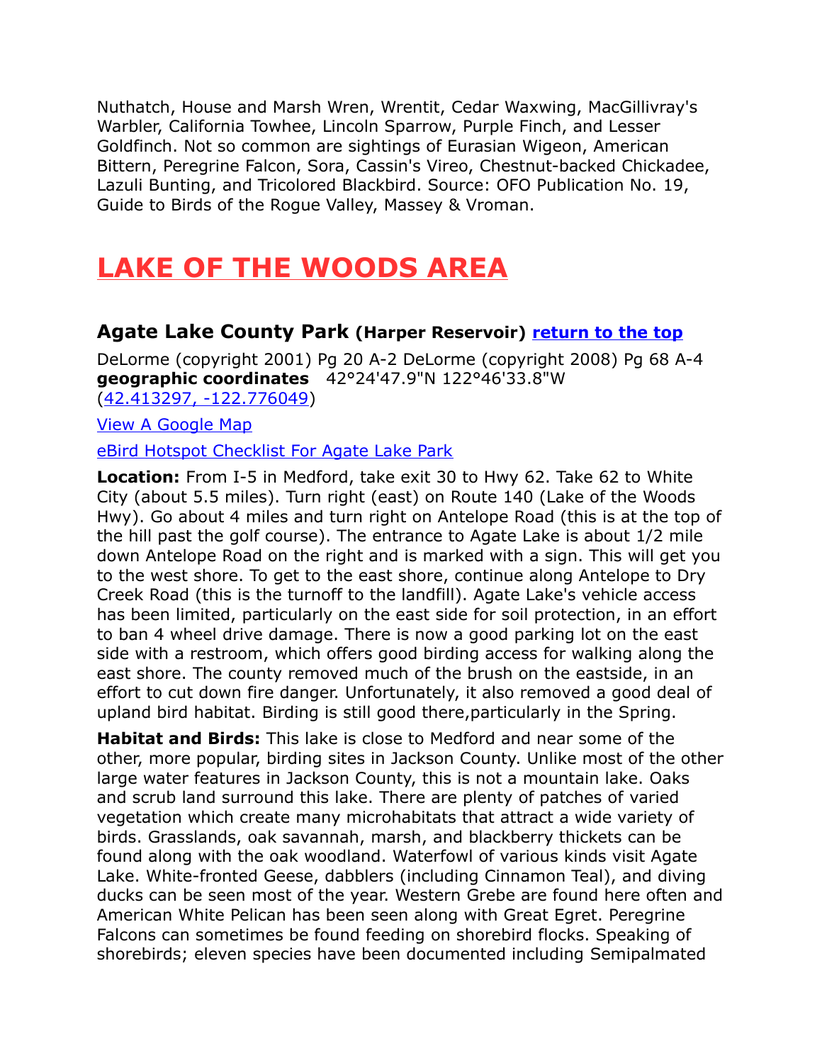Nuthatch, House and Marsh Wren, Wrentit, Cedar Waxwing, MacGillivray's Warbler, California Towhee, Lincoln Sparrow, Purple Finch, and Lesser Goldfinch. Not so common are sightings of Eurasian Wigeon, American Bittern, Peregrine Falcon, Sora, Cassin's Vireo, Chestnut-backed Chickadee, Lazuli Bunting, and Tricolored Blackbird. Source: OFO Publication No. 19, Guide to Birds of the Rogue Valley, Massey & Vroman.

# <span id="page-12-1"></span>**LAKE OF THE WOODS AREA**

# <span id="page-12-0"></span>**Agate Lake County Park (Harper Reservoir) [return to the top](#page-0-0)**

DeLorme (copyright 2001) Pg 20 A-2 DeLorme (copyright 2008) Pg 68 A-4 **geographic coordinates** 42°24'47.9"N 122°46'33.8"W [\(42.413297, -122.776049\)](https://www.google.com/maps/place/42%C2%B024)

[View A Google Map](http://maps.google.com/maps/ms?hl=en&ie=UTF8&msa=0&msid=108036481085398338899.00047528de2f7f286a52d&z=11)

[eBird Hotspot Checklist For Agate Lake Park](http://ebird.org/ebird/hotspot/L2850010?yr=all&m=&rank=mrec)

**Location:** From I-5 in Medford, take exit 30 to Hwy 62. Take 62 to White City (about 5.5 miles). Turn right (east) on Route 140 (Lake of the Woods Hwy). Go about 4 miles and turn right on Antelope Road (this is at the top of the hill past the golf course). The entrance to Agate Lake is about 1/2 mile down Antelope Road on the right and is marked with a sign. This will get you to the west shore. To get to the east shore, continue along Antelope to Dry Creek Road (this is the turnoff to the landfill). Agate Lake's vehicle access has been limited, particularly on the east side for soil protection, in an effort to ban 4 wheel drive damage. There is now a good parking lot on the east side with a restroom, which offers good birding access for walking along the east shore. The county removed much of the brush on the eastside, in an effort to cut down fire danger. Unfortunately, it also removed a good deal of upland bird habitat. Birding is still good there,particularly in the Spring.

**Habitat and Birds:** This lake is close to Medford and near some of the other, more popular, birding sites in Jackson County. Unlike most of the other large water features in Jackson County, this is not a mountain lake. Oaks and scrub land surround this lake. There are plenty of patches of varied vegetation which create many microhabitats that attract a wide variety of birds. Grasslands, oak savannah, marsh, and blackberry thickets can be found along with the oak woodland. Waterfowl of various kinds visit Agate Lake. White-fronted Geese, dabblers (including Cinnamon Teal), and diving ducks can be seen most of the year. Western Grebe are found here often and American White Pelican has been seen along with Great Egret. Peregrine Falcons can sometimes be found feeding on shorebird flocks. Speaking of shorebirds; eleven species have been documented including Semipalmated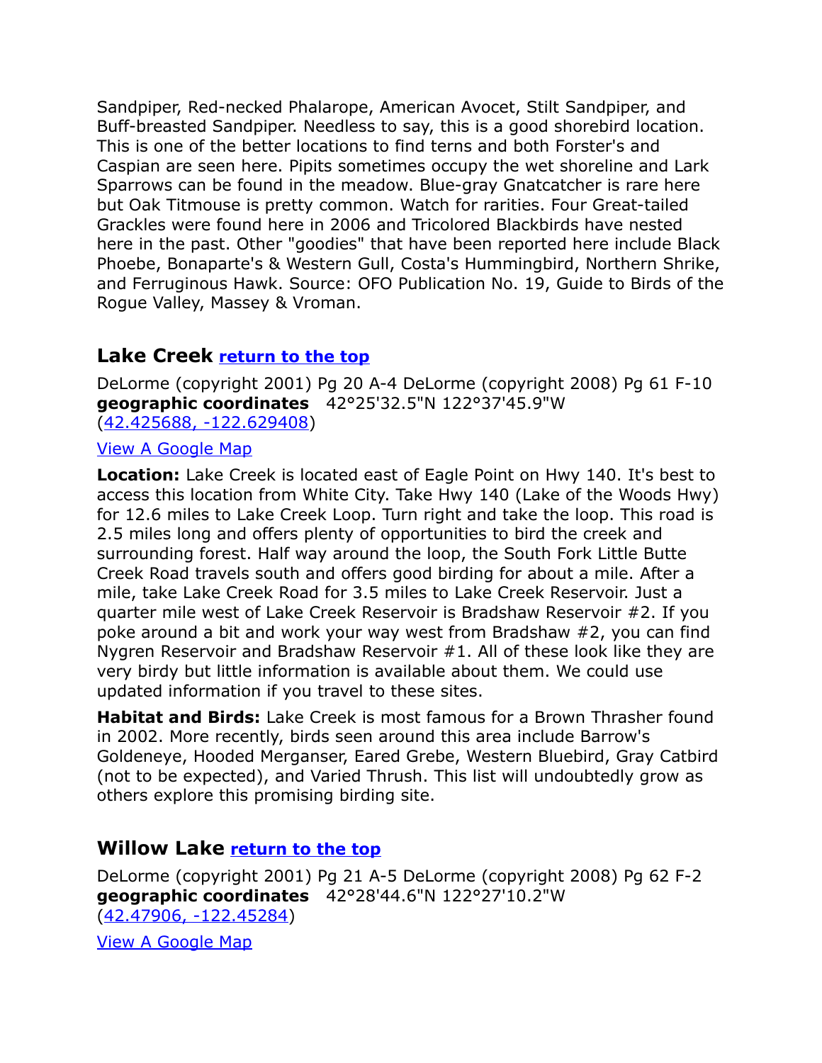Sandpiper, Red-necked Phalarope, American Avocet, Stilt Sandpiper, and Buff-breasted Sandpiper. Needless to say, this is a good shorebird location. This is one of the better locations to find terns and both Forster's and Caspian are seen here. Pipits sometimes occupy the wet shoreline and Lark Sparrows can be found in the meadow. Blue-gray Gnatcatcher is rare here but Oak Titmouse is pretty common. Watch for rarities. Four Great-tailed Grackles were found here in 2006 and Tricolored Blackbirds have nested here in the past. Other "goodies" that have been reported here include Black Phoebe, Bonaparte's & Western Gull, Costa's Hummingbird, Northern Shrike, and Ferruginous Hawk. Source: OFO Publication No. 19, Guide to Birds of the Rogue Valley, Massey & Vroman.

# <span id="page-13-1"></span>**Lake Creek [return to the top](#page-0-0)**

DeLorme (copyright 2001) Pg 20 A-4 DeLorme (copyright 2008) Pg 61 F-10 **geographic coordinates** 42°25'32.5"N 122°37'45.9"W [\(42.425688, -122.629408\)](https://www.google.com/maps/place/42%C2%B025)

#### [View A Google Map](http://maps.google.com/maps/ms?hl=en&source=hp&ie=UTF8&hq=&hnear=Lake+Creek,+OR&gl=us&ei=-xfMSteiMoX0sgPOy4SMAQ&msa=0&ll=42.422443,-122.605019&spn=0.20123,0.528374&z=12&msid=108036481085398338899.00047550c10397ede0323)

**Location:** Lake Creek is located east of Eagle Point on Hwy 140. It's best to access this location from White City. Take Hwy 140 (Lake of the Woods Hwy) for 12.6 miles to Lake Creek Loop. Turn right and take the loop. This road is 2.5 miles long and offers plenty of opportunities to bird the creek and surrounding forest. Half way around the loop, the South Fork Little Butte Creek Road travels south and offers good birding for about a mile. After a mile, take Lake Creek Road for 3.5 miles to Lake Creek Reservoir. Just a quarter mile west of Lake Creek Reservoir is Bradshaw Reservoir #2. If you poke around a bit and work your way west from Bradshaw #2, you can find Nygren Reservoir and Bradshaw Reservoir #1. All of these look like they are very birdy but little information is available about them. We could use updated information if you travel to these sites.

**Habitat and Birds:** Lake Creek is most famous for a Brown Thrasher found in 2002. More recently, birds seen around this area include Barrow's Goldeneye, Hooded Merganser, Eared Grebe, Western Bluebird, Gray Catbird (not to be expected), and Varied Thrush. This list will undoubtedly grow as others explore this promising birding site.

# <span id="page-13-0"></span>**Willow Lake [return to the top](#page-0-0)**

DeLorme (copyright 2001) Pg 21 A-5 DeLorme (copyright 2008) Pg 62 F-2 **geographic coordinates** 42°28'44.6"N 122°27'10.2"W [\(42.47906, -122.45284\)](https://www.google.com/maps/place/42%C2%B028)

[View A Google Map](http://maps.google.com/maps/ms?hl=en&ie=UTF8&msa=0&ll=42.638,-122.516785&spn=1.472927,3.216248&z=9&msid=108036481085398338899.00046d9ec73114595f022)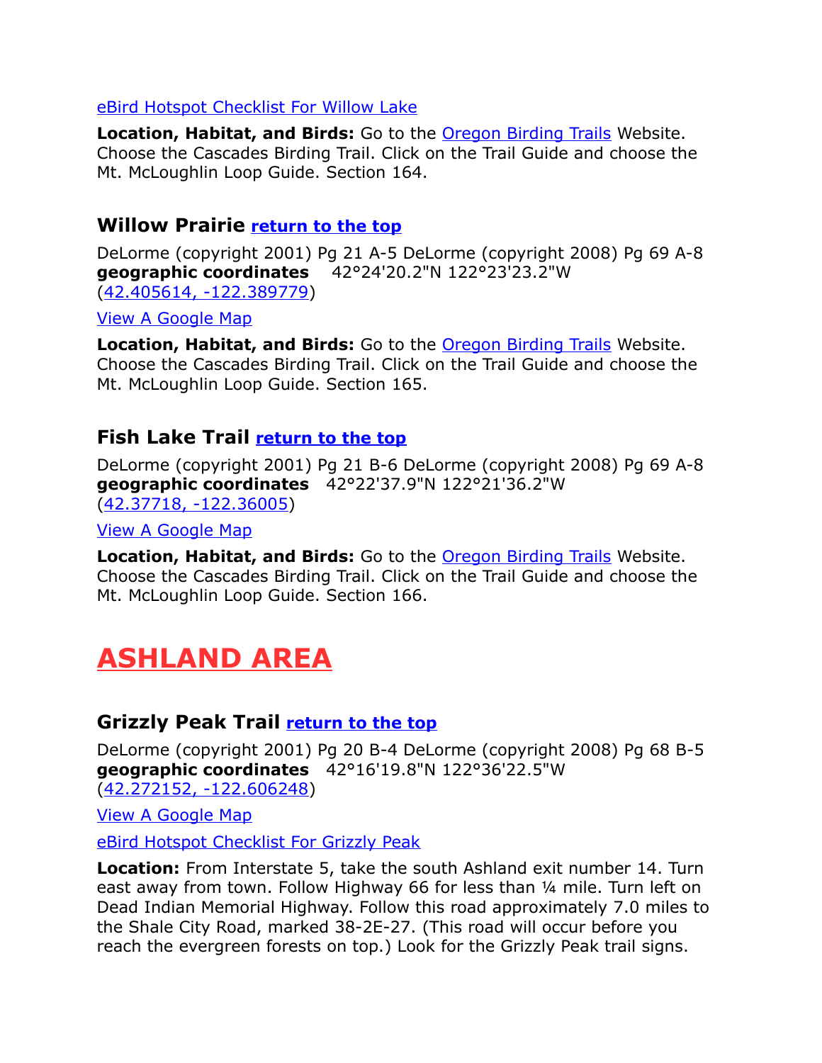#### [eBird Hotspot Checklist For Willow Lake](http://ebird.org/ebird/hotspot/L2257732?yr=all&m=&rank=mrec)

**Location, Habitat, and Birds:** Go to the [Oregon Birding Trails](http://www.oregonbirdingtrails.org/) Website. Choose the Cascades Birding Trail. Click on the Trail Guide and choose the Mt. McLoughlin Loop Guide. Section 164.

# <span id="page-14-3"></span>**Willow Prairie [return to the top](#page-0-0)**

DeLorme (copyright 2001) Pg 21 A-5 DeLorme (copyright 2008) Pg 69 A-8 **geographic coordinates** 42°24'20.2"N 122°23'23.2"W [\(42.405614, -122.389779\)](https://www.google.com/maps/place/42%C2%B024)

[View A Google Map](http://maps.google.com/maps/ms?hl=en&ie=UTF8&msa=0&ll=42.638,-122.516785&spn=1.472927,3.216248&z=9&msid=108036481085398338899.00046d9ec73114595f022)

**Location, Habitat, and Birds:** Go to the [Oregon Birding Trails](http://www.oregonbirdingtrails.org/) Website. Choose the Cascades Birding Trail. Click on the Trail Guide and choose the Mt. McLoughlin Loop Guide. Section 165.

# <span id="page-14-2"></span>**Fish Lake Trail [return to the top](#page-0-0)**

DeLorme (copyright 2001) Pg 21 B-6 DeLorme (copyright 2008) Pg 69 A-8 **geographic coordinates** 42°22'37.9"N 122°21'36.2"W [\(42.37718, -122.36005\)](https://www.google.com/maps/place/42%C2%B022)

[View A Google Map](http://maps.google.com/maps/ms?hl=en&ie=UTF8&msa=0&ll=42.638,-122.516785&spn=1.472927,3.216248&z=9&msid=108036481085398338899.00046d9ec73114595f022)

**Location, Habitat, and Birds:** Go to the [Oregon Birding Trails](http://www.oregonbirdingtrails.org/) Website. Choose the Cascades Birding Trail. Click on the Trail Guide and choose the Mt. McLoughlin Loop Guide. Section 166.

# <span id="page-14-1"></span>**ASHLAND AREA**

# <span id="page-14-0"></span>**Grizzly Peak Trail [return to the top](#page-0-0)**

DeLorme (copyright 2001) Pg 20 B-4 DeLorme (copyright 2008) Pg 68 B-5 **geographic coordinates** 42°16'19.8"N 122°36'22.5"W [\(42.272152, -122.606248\)](https://www.google.com/maps/place/42%C2%B016)

[View A Google Map](http://maps.google.com/maps/ms?hl=en&ie=UTF8&msa=0&msid=108036481085398338899.0004762cc807bdd99760b&ll=42.278833,-122.625275&spn=0.333778,0.699692&z=11)

[eBird Hotspot Checklist For Grizzly Peak](http://ebird.org/ebird/hotspot/L905903?yr=all&m=&rank=mrec)

**Location:** From Interstate 5, take the south Ashland exit number 14. Turn east away from town. Follow Highway 66 for less than ¼ mile. Turn left on Dead Indian Memorial Highway. Follow this road approximately 7.0 miles to the Shale City Road, marked 38-2E-27. (This road will occur before you reach the evergreen forests on top.) Look for the Grizzly Peak trail signs.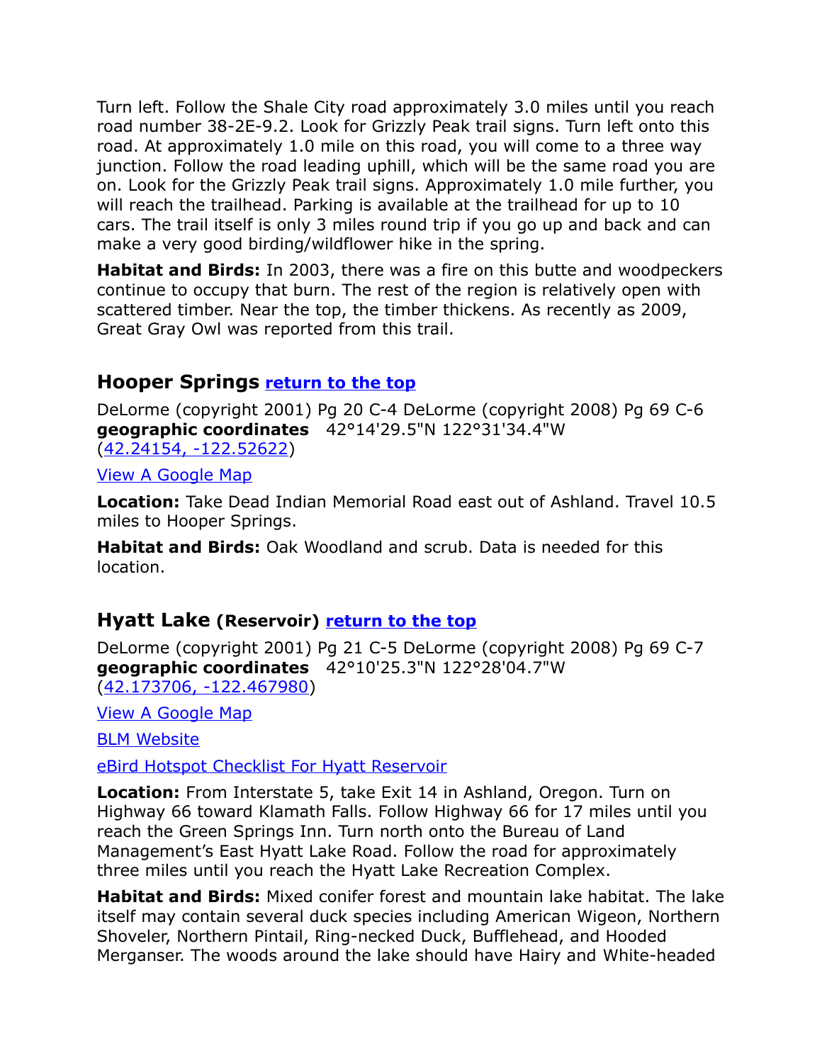Turn left. Follow the Shale City road approximately 3.0 miles until you reach road number 38-2E-9.2. Look for Grizzly Peak trail signs. Turn left onto this road. At approximately 1.0 mile on this road, you will come to a three way junction. Follow the road leading uphill, which will be the same road you are on. Look for the Grizzly Peak trail signs. Approximately 1.0 mile further, you will reach the trailhead. Parking is available at the trailhead for up to 10 cars. The trail itself is only 3 miles round trip if you go up and back and can make a very good birding/wildflower hike in the spring.

**Habitat and Birds:** In 2003, there was a fire on this butte and woodpeckers continue to occupy that burn. The rest of the region is relatively open with scattered timber. Near the top, the timber thickens. As recently as 2009, Great Gray Owl was reported from this trail.

# <span id="page-15-1"></span>**Hooper Springs [return to the top](#page-0-0)**

DeLorme (copyright 2001) Pg 20 C-4 DeLorme (copyright 2008) Pg 69 C-6 **geographic coordinates** 42°14'29.5"N 122°31'34.4"W [\(42.24154, -122.52622\)](https://www.google.com/maps/place/42%C2%B014)

[View A Google Map](http://maps.google.com/maps/ms?hl=en&ie=UTF8&msa=0&msid=108036481085398338899.0004753db672ce90803ab&ll=42.239194,-122.522278&spn=0.333987,0.699692&z=11)

**Location:** Take Dead Indian Memorial Road east out of Ashland. Travel 10.5 miles to Hooper Springs.

**Habitat and Birds:** Oak Woodland and scrub. Data is needed for this location.

# <span id="page-15-0"></span>**Hyatt Lake (Reservoir) [return to the top](#page-0-0)**

DeLorme (copyright 2001) Pg 21 C-5 DeLorme (copyright 2008) Pg 69 C-7 **geographic coordinates** 42°10'25.3"N 122°28'04.7"W [\(42.173706, -122.467980\)](https://www.google.com/maps/place/42%C2%B010)

[View A Google Map](http://maps.google.com/maps/ms?hl=en&ie=UTF8&msa=0&msid=108036481085398338899.000475205540dee41c1a8&ll=42.350425,-122.43988&spn=1.333572,2.798767&z=9)

[BLM Website](http://www.blm.gov/or/resources/recreation/site_info.php?siteid=135)

[eBird Hotspot Checklist For Hyatt Reservoir](http://ebird.org/ebird/hotspot/L1303095?yr=all&m=&rank=mrec)

**Location:** From Interstate 5, take Exit 14 in Ashland, Oregon. Turn on Highway 66 toward Klamath Falls. Follow Highway 66 for 17 miles until you reach the Green Springs Inn. Turn north onto the Bureau of Land Management's East Hyatt Lake Road. Follow the road for approximately three miles until you reach the Hyatt Lake Recreation Complex.

**Habitat and Birds:** Mixed conifer forest and mountain lake habitat. The lake itself may contain several duck species including American Wigeon, Northern Shoveler, Northern Pintail, Ring-necked Duck, Bufflehead, and Hooded Merganser. The woods around the lake should have Hairy and White-headed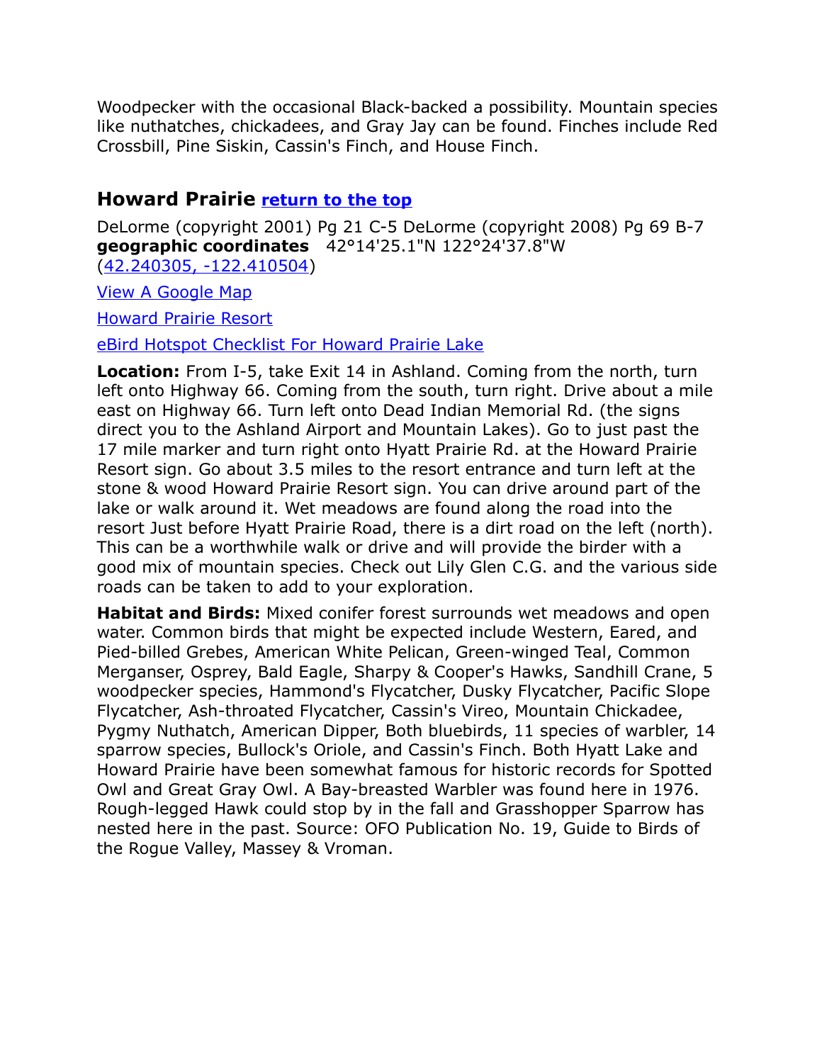Woodpecker with the occasional Black-backed a possibility. Mountain species like nuthatches, chickadees, and Gray Jay can be found. Finches include Red Crossbill, Pine Siskin, Cassin's Finch, and House Finch.

# <span id="page-16-0"></span>**Howard Prairie [return to the top](#page-0-0)**

DeLorme (copyright 2001) Pg 21 C-5 DeLorme (copyright 2008) Pg 69 B-7 **geographic coordinates** 42°14'25.1"N 122°24'37.8"W [\(42.240305, -122.410504\)](https://www.google.com/maps/place/42%C2%B014)

[View A Google Map](http://maps.google.com/maps/ms?hl=en&ie=UTF8&msa=0&msid=108036481085398338899.000475205540dee41c1a8&ll=42.350425,-122.43988&spn=1.333572,2.798767&z=9)

[Howard Prairie Resort](http://jacksoncountyor.org/parks/Camping/Howard-Prairie-Resort/Resort-Map)

[eBird Hotspot Checklist For Howard Prairie Lake](http://ebird.org/ebird/hotspot/L525125?yr=all&m=&rank=mrec)

**Location:** From I-5, take Exit 14 in Ashland. Coming from the north, turn left onto Highway 66. Coming from the south, turn right. Drive about a mile east on Highway 66. Turn left onto Dead Indian Memorial Rd. (the signs direct you to the Ashland Airport and Mountain Lakes). Go to just past the 17 mile marker and turn right onto Hyatt Prairie Rd. at the Howard Prairie Resort sign. Go about 3.5 miles to the resort entrance and turn left at the stone & wood Howard Prairie Resort sign. You can drive around part of the lake or walk around it. Wet meadows are found along the road into the resort Just before Hyatt Prairie Road, there is a dirt road on the left (north). This can be a worthwhile walk or drive and will provide the birder with a good mix of mountain species. Check out Lily Glen C.G. and the various side roads can be taken to add to your exploration.

**Habitat and Birds:** Mixed conifer forest surrounds wet meadows and open water. Common birds that might be expected include Western, Eared, and Pied-billed Grebes, American White Pelican, Green-winged Teal, Common Merganser, Osprey, Bald Eagle, Sharpy & Cooper's Hawks, Sandhill Crane, 5 woodpecker species, Hammond's Flycatcher, Dusky Flycatcher, Pacific Slope Flycatcher, Ash-throated Flycatcher, Cassin's Vireo, Mountain Chickadee, Pygmy Nuthatch, American Dipper, Both bluebirds, 11 species of warbler, 14 sparrow species, Bullock's Oriole, and Cassin's Finch. Both Hyatt Lake and Howard Prairie have been somewhat famous for historic records for Spotted Owl and Great Gray Owl. A Bay-breasted Warbler was found here in 1976. Rough-legged Hawk could stop by in the fall and Grasshopper Sparrow has nested here in the past. Source: OFO Publication No. 19, Guide to Birds of the Rogue Valley, Massey & Vroman.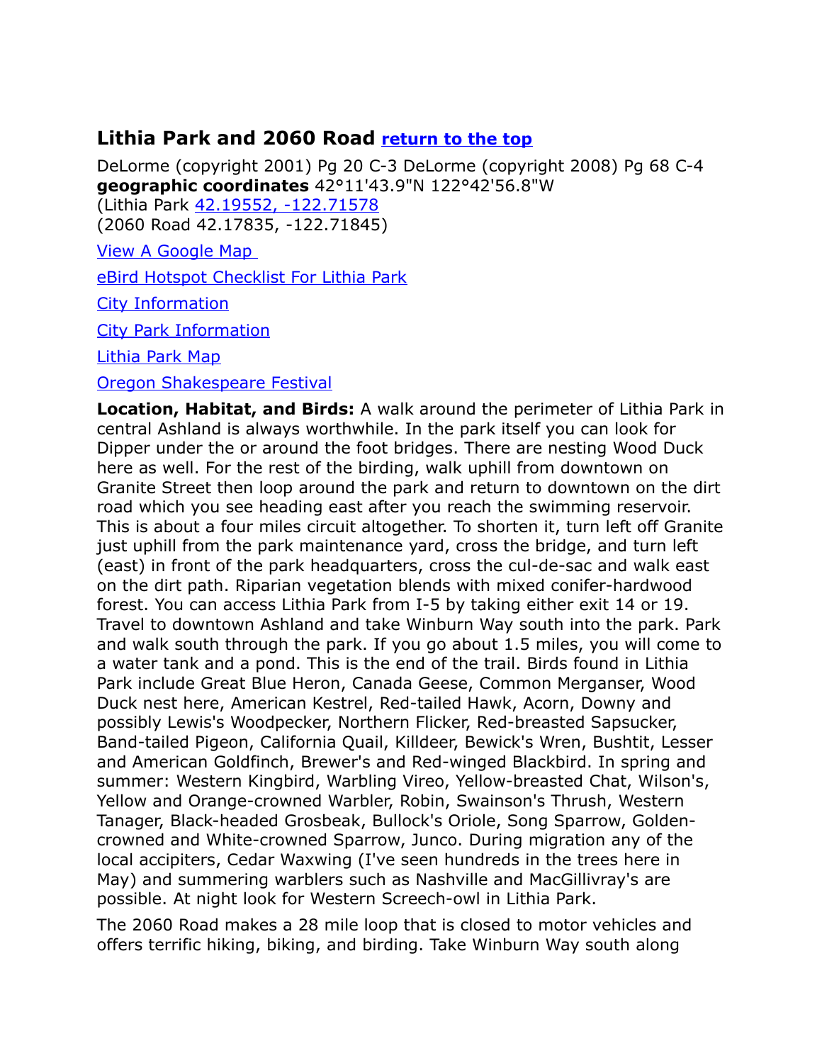# <span id="page-17-0"></span>**Lithia Park and 2060 Road [return to the top](#page-0-0)**

DeLorme (copyright 2001) Pg 20 C-3 DeLorme (copyright 2008) Pg 68 C-4 **geographic coordinates** 42°11'43.9"N 122°42'56.8"W

(Lithia Park [42.19552, -122.71578](https://www.google.com/maps/place/42%C2%B011)  (2060 Road 42.17835, -122.71845)

[View A Google Map](http://maps.google.com/maps/ms?hl=en&ie=UTF8&msa=0&ll=42.233602,-122.854614&spn=0.807337,2.113495&z=10&msid=108036481085398338899.0004751f2fb229b59a820) 

[eBird Hotspot Checklist For Lithia Park](http://ebird.org/ebird/hotspot/L480658?yr=all&m=&rank=mrec)

[City Information](http://www.citytowninfo.com/places/oregon/ashland)

[City Park Information](http://www.ashland.or.us/SectionIndex.asp?SectionID=426)

[Lithia Park Map](http://www.ashland.or.us/Files/Lithia_Park.pdf) 

#### [Oregon Shakespeare Festival](http://www.osfashland.org/)

**Location, Habitat, and Birds:** A walk around the perimeter of Lithia Park in central Ashland is always worthwhile. In the park itself you can look for Dipper under the or around the foot bridges. There are nesting Wood Duck here as well. For the rest of the birding, walk uphill from downtown on Granite Street then loop around the park and return to downtown on the dirt road which you see heading east after you reach the swimming reservoir. This is about a four miles circuit altogether. To shorten it, turn left off Granite just uphill from the park maintenance yard, cross the bridge, and turn left (east) in front of the park headquarters, cross the cul-de-sac and walk east on the dirt path. Riparian vegetation blends with mixed conifer-hardwood forest. You can access Lithia Park from I-5 by taking either exit 14 or 19. Travel to downtown Ashland and take Winburn Way south into the park. Park and walk south through the park. If you go about 1.5 miles, you will come to a water tank and a pond. This is the end of the trail. Birds found in Lithia Park include Great Blue Heron, Canada Geese, Common Merganser, Wood Duck nest here, American Kestrel, Red-tailed Hawk, Acorn, Downy and possibly Lewis's Woodpecker, Northern Flicker, Red-breasted Sapsucker, Band-tailed Pigeon, California Quail, Killdeer, Bewick's Wren, Bushtit, Lesser and American Goldfinch, Brewer's and Red-winged Blackbird. In spring and summer: Western Kingbird, Warbling Vireo, Yellow-breasted Chat, Wilson's, Yellow and Orange-crowned Warbler, Robin, Swainson's Thrush, Western Tanager, Black-headed Grosbeak, Bullock's Oriole, Song Sparrow, Goldencrowned and White-crowned Sparrow, Junco. During migration any of the local accipiters, Cedar Waxwing (I've seen hundreds in the trees here in May) and summering warblers such as Nashville and MacGillivray's are possible. At night look for Western Screech-owl in Lithia Park.

The 2060 Road makes a 28 mile loop that is closed to motor vehicles and offers terrific hiking, biking, and birding. Take Winburn Way south along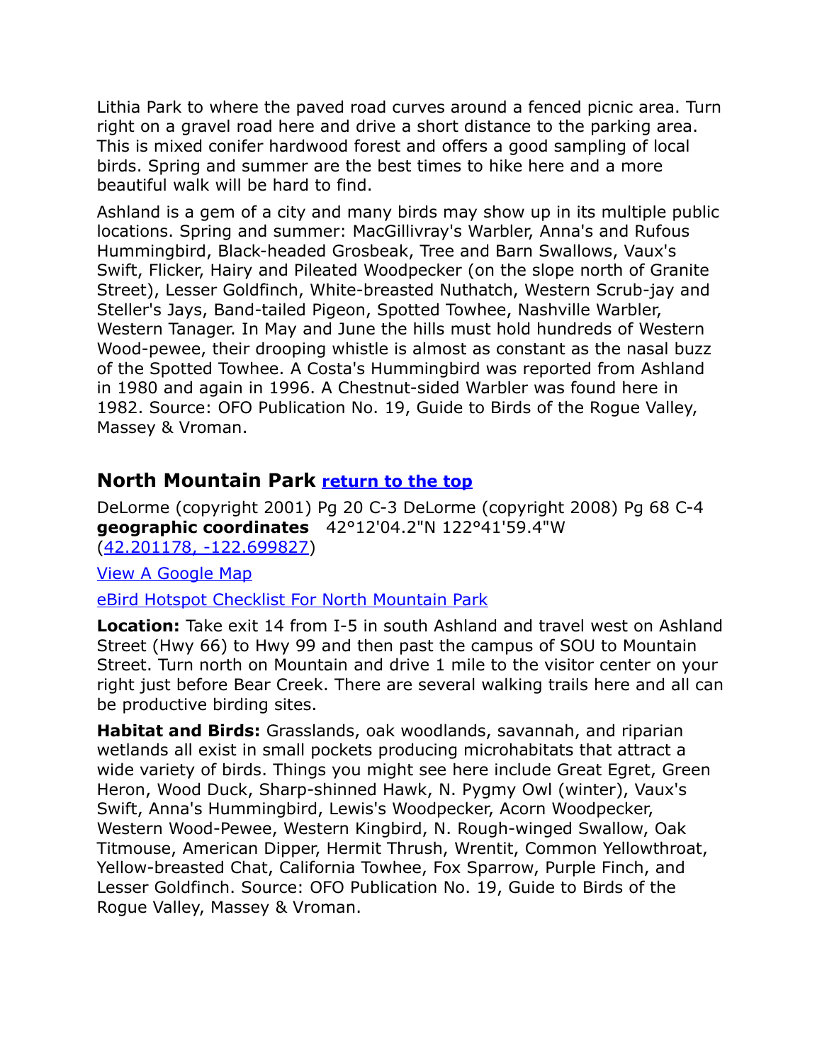Lithia Park to where the paved road curves around a fenced picnic area. Turn right on a gravel road here and drive a short distance to the parking area. This is mixed conifer hardwood forest and offers a good sampling of local birds. Spring and summer are the best times to hike here and a more beautiful walk will be hard to find.

Ashland is a gem of a city and many birds may show up in its multiple public locations. Spring and summer: MacGillivray's Warbler, Anna's and Rufous Hummingbird, Black-headed Grosbeak, Tree and Barn Swallows, Vaux's Swift, Flicker, Hairy and Pileated Woodpecker (on the slope north of Granite Street), Lesser Goldfinch, White-breasted Nuthatch, Western Scrub-jay and Steller's Jays, Band-tailed Pigeon, Spotted Towhee, Nashville Warbler, Western Tanager. In May and June the hills must hold hundreds of Western Wood-pewee, their drooping whistle is almost as constant as the nasal buzz of the Spotted Towhee. A Costa's Hummingbird was reported from Ashland in 1980 and again in 1996. A Chestnut-sided Warbler was found here in 1982. Source: OFO Publication No. 19, Guide to Birds of the Rogue Valley, Massey & Vroman.

# <span id="page-18-0"></span>**North Mountain Park [return to the top](#page-0-0)**

DeLorme (copyright 2001) Pg 20 C-3 DeLorme (copyright 2008) Pg 68 C-4 **geographic coordinates** 42°12'04.2"N 122°41'59.4"W [\(42.201178, -122.699827\)](https://www.google.com/maps/place/42%C2%B012)

[View A Google Map](http://maps.google.com/maps/ms?hl=en&ie=UTF8&msa=0&msid=108036481085398338899.0004758cc9cb30d4d5a18&ll=42.202963,-122.706213&spn=0.041773,0.087461&z=14)

[eBird Hotspot Checklist For North Mountain Park](http://ebird.org/ebird/hotspot/L389882?yr=all&m=&rank=mrec)

**Location:** Take exit 14 from I-5 in south Ashland and travel west on Ashland Street (Hwy 66) to Hwy 99 and then past the campus of SOU to Mountain Street. Turn north on Mountain and drive 1 mile to the visitor center on your right just before Bear Creek. There are several walking trails here and all can be productive birding sites.

**Habitat and Birds:** Grasslands, oak woodlands, savannah, and riparian wetlands all exist in small pockets producing microhabitats that attract a wide variety of birds. Things you might see here include Great Egret, Green Heron, Wood Duck, Sharp-shinned Hawk, N. Pygmy Owl (winter), Vaux's Swift, Anna's Hummingbird, Lewis's Woodpecker, Acorn Woodpecker, Western Wood-Pewee, Western Kingbird, N. Rough-winged Swallow, Oak Titmouse, American Dipper, Hermit Thrush, Wrentit, Common Yellowthroat, Yellow-breasted Chat, California Towhee, Fox Sparrow, Purple Finch, and Lesser Goldfinch. Source: OFO Publication No. 19, Guide to Birds of the Rogue Valley, Massey & Vroman.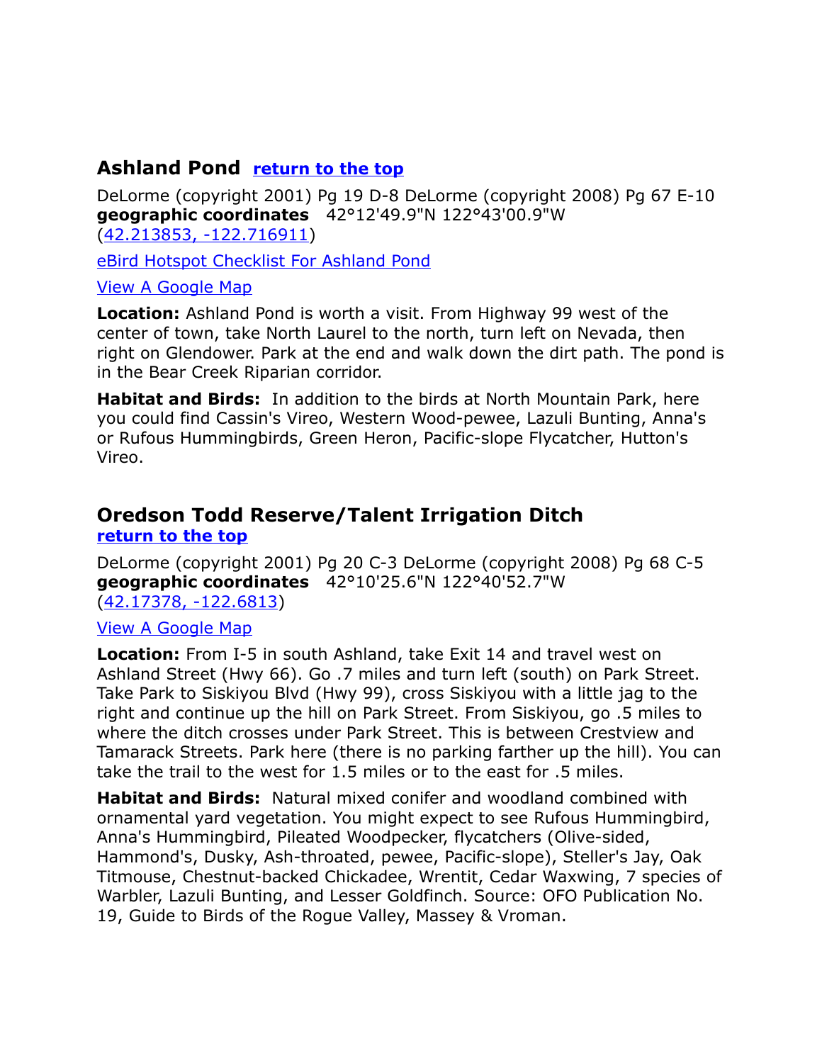# <span id="page-19-0"></span>**Ashland Pond [return to the top](#page-0-0)**

DeLorme (copyright 2001) Pg 19 D-8 DeLorme (copyright 2008) Pg 67 E-10 **geographic coordinates** 42°12'49.9"N 122°43'00.9"W [\(42.213853, -122.716911\)](https://www.google.com/maps/place/42%C2%B012)

[eBird Hotspot Checklist For Ashland Pond](http://ebird.org/ebird/hotspot/L389873?yr=all&m=&rank=mrec)

#### [View A Google Map](http://maps.google.com/maps/ms?hl=en&ie=UTF8&msa=0&msid=108036481085398338899.0004758cc9cb30d4d5a18&ll=42.202963,-122.706213&spn=0.041773,0.087461&z=14)

**Location:** Ashland Pond is worth a visit. From Highway 99 west of the center of town, take North Laurel to the north, turn left on Nevada, then right on Glendower. Park at the end and walk down the dirt path. The pond is in the Bear Creek Riparian corridor.

**Habitat and Birds:** In addition to the birds at North Mountain Park, here you could find Cassin's Vireo, Western Wood-pewee, Lazuli Bunting, Anna's or Rufous Hummingbirds, Green Heron, Pacific-slope Flycatcher, Hutton's Vireo.

# <span id="page-19-1"></span>**Oredson Todd Reserve/Talent Irrigation Ditch [return to the top](#page-0-0)**

DeLorme (copyright 2001) Pg 20 C-3 DeLorme (copyright 2008) Pg 68 C-5 **geographic coordinates** 42°10'25.6"N 122°40'52.7"W [\(42.17378, -122.6813\)](https://www.google.com/maps/place/42%C2%B010)

#### [View A Google Map](http://maps.google.com/maps/ms?hl=en&ie=UTF8&msa=0&msid=108036481085398338899.00047564fe98d7c9e8822&ll=42.157296,-122.654629&spn=0.083605,0.174923&z=13)

**Location:** From I-5 in south Ashland, take Exit 14 and travel west on Ashland Street (Hwy 66). Go .7 miles and turn left (south) on Park Street. Take Park to Siskiyou Blvd (Hwy 99), cross Siskiyou with a little jag to the right and continue up the hill on Park Street. From Siskiyou, go .5 miles to where the ditch crosses under Park Street. This is between Crestview and Tamarack Streets. Park here (there is no parking farther up the hill). You can take the trail to the west for 1.5 miles or to the east for .5 miles.

**Habitat and Birds:** Natural mixed conifer and woodland combined with ornamental yard vegetation. You might expect to see Rufous Hummingbird, Anna's Hummingbird, Pileated Woodpecker, flycatchers (Olive-sided, Hammond's, Dusky, Ash-throated, pewee, Pacific-slope), Steller's Jay, Oak Titmouse, Chestnut-backed Chickadee, Wrentit, Cedar Waxwing, 7 species of Warbler, Lazuli Bunting, and Lesser Goldfinch. Source: OFO Publication No. 19, Guide to Birds of the Rogue Valley, Massey & Vroman.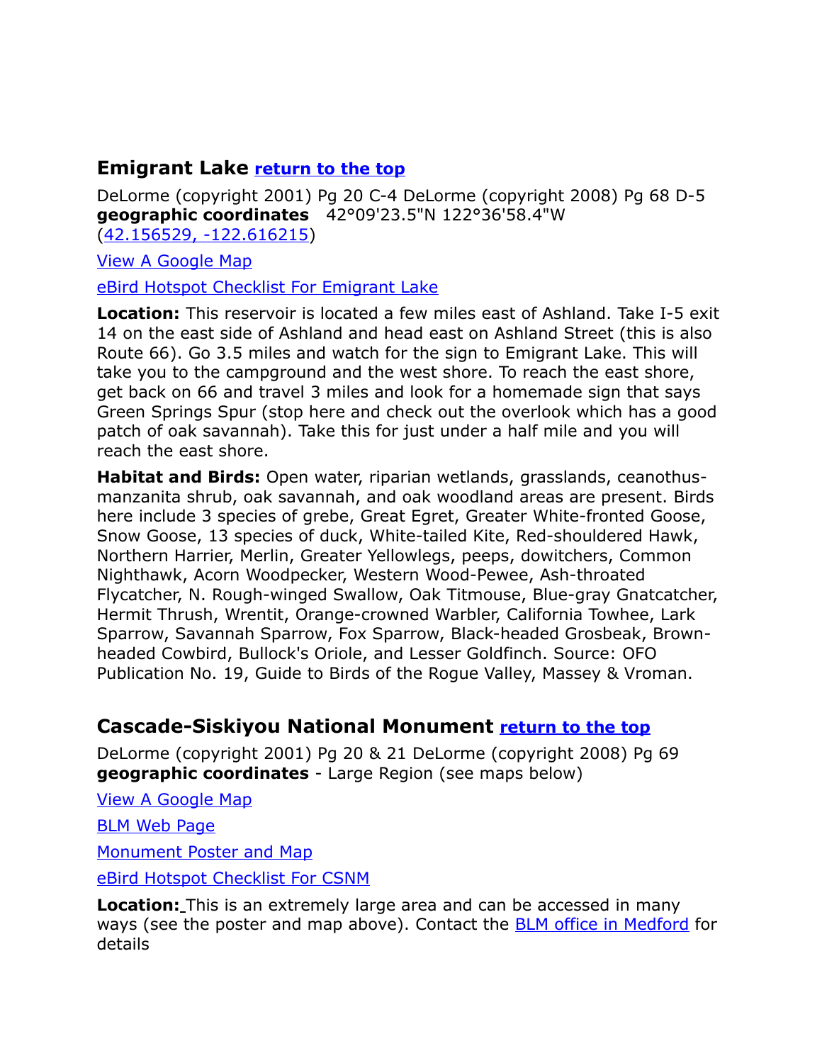# <span id="page-20-0"></span>**Emigrant Lake [return to the top](#page-0-0)**

DeLorme (copyright 2001) Pg 20 C-4 DeLorme (copyright 2008) Pg 68 D-5 **geographic coordinates** 42°09'23.5"N 122°36'58.4"W [\(42.156529, -122.616215\)](https://www.google.com/maps/place/42%C2%B009)

[View A Google Map](http://maps.google.com/maps/ms?hl=en&ie=UTF8&msa=0&msid=108036481085398338899.00047564fe98d7c9e8822&ll=42.157296,-122.654629&spn=0.083605,0.174923&z=13)

[eBird Hotspot Checklist For Emigrant Lake](http://ebird.org/ebird/hotspot/L389848?yr=all&m=&rank=mrec)

**Location:** This reservoir is located a few miles east of Ashland. Take I-5 exit 14 on the east side of Ashland and head east on Ashland Street (this is also Route 66). Go 3.5 miles and watch for the sign to Emigrant Lake. This will take you to the campground and the west shore. To reach the east shore, get back on 66 and travel 3 miles and look for a homemade sign that says Green Springs Spur (stop here and check out the overlook which has a good patch of oak savannah). Take this for just under a half mile and you will reach the east shore.

**Habitat and Birds:** Open water, riparian wetlands, grasslands, ceanothusmanzanita shrub, oak savannah, and oak woodland areas are present. Birds here include 3 species of grebe, Great Egret, Greater White-fronted Goose, Snow Goose, 13 species of duck, White-tailed Kite, Red-shouldered Hawk, Northern Harrier, Merlin, Greater Yellowlegs, peeps, dowitchers, Common Nighthawk, Acorn Woodpecker, Western Wood-Pewee, Ash-throated Flycatcher, N. Rough-winged Swallow, Oak Titmouse, Blue-gray Gnatcatcher, Hermit Thrush, Wrentit, Orange-crowned Warbler, California Towhee, Lark Sparrow, Savannah Sparrow, Fox Sparrow, Black-headed Grosbeak, Brownheaded Cowbird, Bullock's Oriole, and Lesser Goldfinch. Source: OFO Publication No. 19, Guide to Birds of the Rogue Valley, Massey & Vroman.

# <span id="page-20-1"></span>**Cascade-Siskiyou National Monument [return to the top](#page-0-0)**

DeLorme (copyright 2001) Pg 20 & 21 DeLorme (copyright 2008) Pg 69 **geographic coordinates** - Large Region (see maps below)

[View A Google Map](http://maps.google.com/maps/ms?hl=en&ie=UTF8&msa=0&ll=42.190882,-122.278519&spn=0.403942,1.056747&z=11&msid=108036481085398338899.0004752029be41d5728bb)

**[BLM Web Page](http://www.blm.gov/or/districts/medford/plans/csnm.php)** 

[Monument Poster and Map](http://www.blm.gov/or/resources/recreation/csnm/files/Map_Poster.pdf)

[eBird Hotspot Checklist For CSNM](http://ebird.org/ebird/hotspot/L159579?yr=all&m=&rank=mrec)

**Location:** This is an extremely large area and can be accessed in many ways (see the poster and map above). Contact the [BLM office in Medford](http://www.blm.gov/or/districts/medford/index.php) for details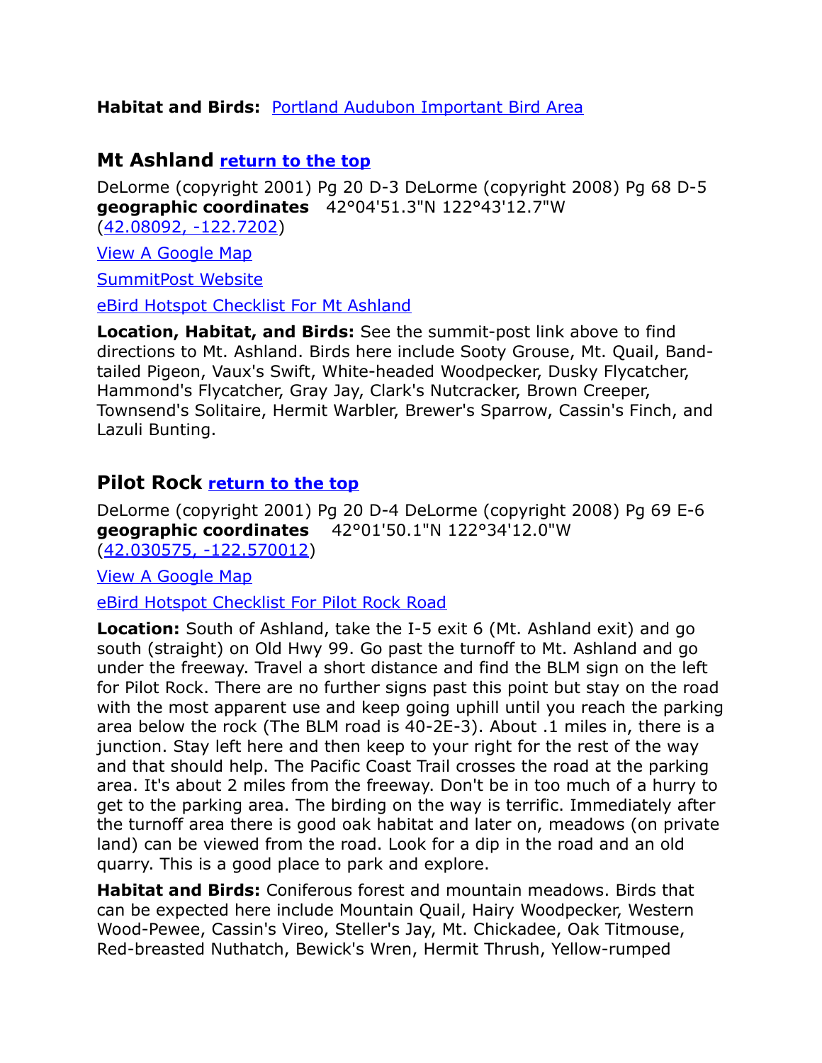#### **Habitat and Birds:** [Portland Audubon Important Bird Area](http://www.audubonportland.org/issues/statewide/iba/iba-map/cascade)

### <span id="page-21-0"></span>**Mt Ashland [return to the top](#page-0-0)**

DeLorme (copyright 2001) Pg 20 D-3 DeLorme (copyright 2008) Pg 68 D-5 **geographic coordinates** 42°04'51.3"N 122°43'12.7"W [\(42.08092, -122.7202\)](https://www.google.com/maps/place/42%C2%B004)

[View A Google Map](http://maps.google.com/maps/ms?hl=en&ie=UTF8&msa=0&msid=108036481085398338899.00046f3da99976fdebd99&ll=42.077871,-122.718015&spn=0.33484,0.699692&z=11)

[SummitPost Website](http://www.summitpost.org/mountain/rock/155163/mount-ashland.html)

[eBird Hotspot Checklist For Mt Ashland](http://ebird.org/ebird/hotspot/L220840?yr=all&m=&rank=mrec)

**Location, Habitat, and Birds:** See the summit-post link above to find directions to Mt. Ashland. Birds here include Sooty Grouse, Mt. Quail, Bandtailed Pigeon, Vaux's Swift, White-headed Woodpecker, Dusky Flycatcher, Hammond's Flycatcher, Gray Jay, Clark's Nutcracker, Brown Creeper, Townsend's Solitaire, Hermit Warbler, Brewer's Sparrow, Cassin's Finch, and Lazuli Bunting.

#### <span id="page-21-1"></span>**Pilot Rock [return to the top](#page-0-0)**

DeLorme (copyright 2001) Pg 20 D-4 DeLorme (copyright 2008) Pg 69 E-6 **geographic coordinates** 42°01'50.1"N 122°34'12.0"W [\(42.030575, -122.570012\)](https://www.google.com/maps/place/42%C2%B001)

[View A Google Map](http://maps.google.com/maps/ms?hl=en&ie=UTF8&msa=0&msid=108036481085398338899.00047597c36c0d23c8e8e&ll=42.029053,-122.568111&spn=0.670193,1.399384&z=10)

[eBird Hotspot Checklist For Pilot Rock Road](http://ebird.org/ebird/hotspot/L595933?yr=all&m=&rank=mrec)

**Location:** South of Ashland, take the I-5 exit 6 (Mt. Ashland exit) and go south (straight) on Old Hwy 99. Go past the turnoff to Mt. Ashland and go under the freeway. Travel a short distance and find the BLM sign on the left for Pilot Rock. There are no further signs past this point but stay on the road with the most apparent use and keep going uphill until you reach the parking area below the rock (The BLM road is 40-2E-3). About .1 miles in, there is a junction. Stay left here and then keep to your right for the rest of the way and that should help. The Pacific Coast Trail crosses the road at the parking area. It's about 2 miles from the freeway. Don't be in too much of a hurry to get to the parking area. The birding on the way is terrific. Immediately after the turnoff area there is good oak habitat and later on, meadows (on private land) can be viewed from the road. Look for a dip in the road and an old quarry. This is a good place to park and explore.

**Habitat and Birds:** Coniferous forest and mountain meadows. Birds that can be expected here include Mountain Quail, Hairy Woodpecker, Western Wood-Pewee, Cassin's Vireo, Steller's Jay, Mt. Chickadee, Oak Titmouse, Red-breasted Nuthatch, Bewick's Wren, Hermit Thrush, Yellow-rumped